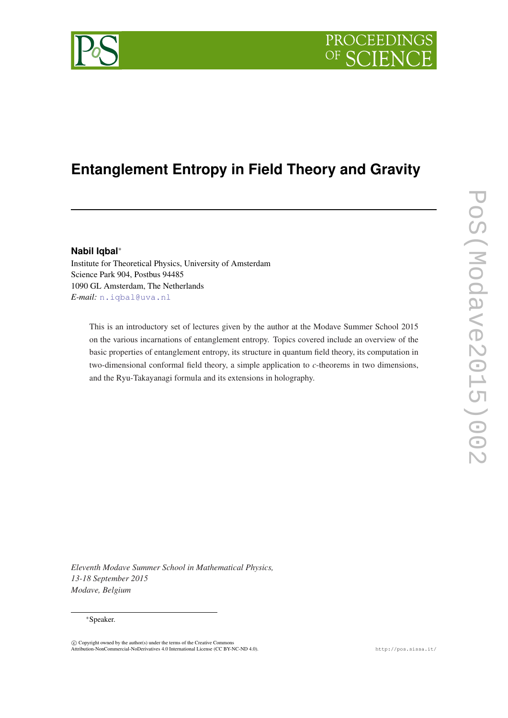

# **Entanglement Entropy in Field Theory and Gravity**

## **Nabil Iqbal**<sup>∗</sup>

Institute for Theoretical Physics, University of Amsterdam Science Park 904, Postbus 94485 1090 GL Amsterdam, The Netherlands *E-mail:* [n.iqbal@uva.nl](mailto:n.iqbal@uva.nl)

This is an introductory set of lectures given by the author at the Modave Summer School 2015 on the various incarnations of entanglement entropy. Topics covered include an overview of the basic properties of entanglement entropy, its structure in quantum field theory, its computation in two-dimensional conformal field theory, a simple application to *c*-theorems in two dimensions, and the Ryu-Takayanagi formula and its extensions in holography.

PoS(Modave2015)002 PoS(Modave2015)002

*Eleventh Modave Summer School in Mathematical Physics, 13-18 September 2015 Modave, Belgium*

## <sup>∗</sup>Speaker.

 $\circled{c}$  Copyright owned by the author(s) under the terms of the Creative Commons Attribution-NonCommercial-NoDerivatives 4.0 International License (CC BY-NC-ND 4.0). http://pos.sissa.it/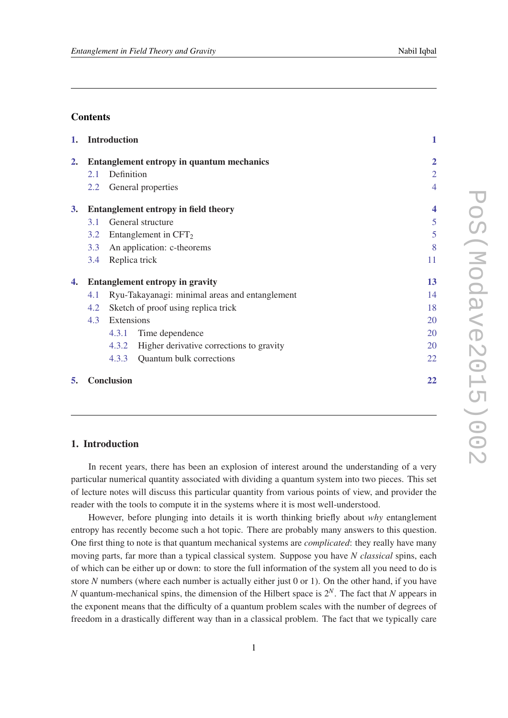# **Contents**

| 1.                      |                                             | <b>Introduction</b>                            | $\mathbf{1}$   |
|-------------------------|---------------------------------------------|------------------------------------------------|----------------|
| 2.                      | Entanglement entropy in quantum mechanics   |                                                | $\overline{2}$ |
|                         | 2.1                                         | Definition                                     | $\overline{2}$ |
|                         | $2.2^{\circ}$                               | General properties                             | 4              |
| 3.                      | <b>Entanglement entropy in field theory</b> |                                                | 4              |
|                         | 3.1                                         | General structure                              | 5              |
|                         | 3.2                                         | Entanglement in $CFT2$                         | 5              |
|                         | 3.3                                         | An application: c-theorems                     | 8              |
|                         | 3.4                                         | Replica trick                                  | 11             |
| 4.                      | <b>Entanglement entropy in gravity</b>      |                                                | 13             |
|                         | 4.1                                         | Ryu-Takayanagi: minimal areas and entanglement | 14             |
|                         | 4.2                                         | Sketch of proof using replica trick            | 18             |
|                         | 4.3                                         | Extensions                                     | 20             |
|                         |                                             | Time dependence<br>4.3.1                       | 20             |
|                         |                                             | 4.3.2 Higher derivative corrections to gravity | 20             |
|                         |                                             | <b>Quantum bulk corrections</b><br>4.3.3       | 22             |
| 5.<br><b>Conclusion</b> |                                             |                                                | 22             |

# 1. Introduction

In recent years, there has been an explosion of interest around the understanding of a very particular numerical quantity associated with dividing a quantum system into two pieces. This set of lecture notes will discuss this particular quantity from various points of view, and provider the reader with the tools to compute it in the systems where it is most well-understood.

However, before plunging into details it is worth thinking briefly about *why* entanglement entropy has recently become such a hot topic. There are probably many answers to this question. One first thing to note is that quantum mechanical systems are *complicated*: they really have many moving parts, far more than a typical classical system. Suppose you have *N classical* spins, each of which can be either up or down: to store the full information of the system all you need to do is store *N* numbers (where each number is actually either just 0 or 1). On the other hand, if you have *N* quantum-mechanical spins, the dimension of the Hilbert space is 2*N*. The fact that *N* appears in the exponent means that the difficulty of a quantum problem scales with the number of degrees of freedom in a drastically different way than in a classical problem. The fact that we typically care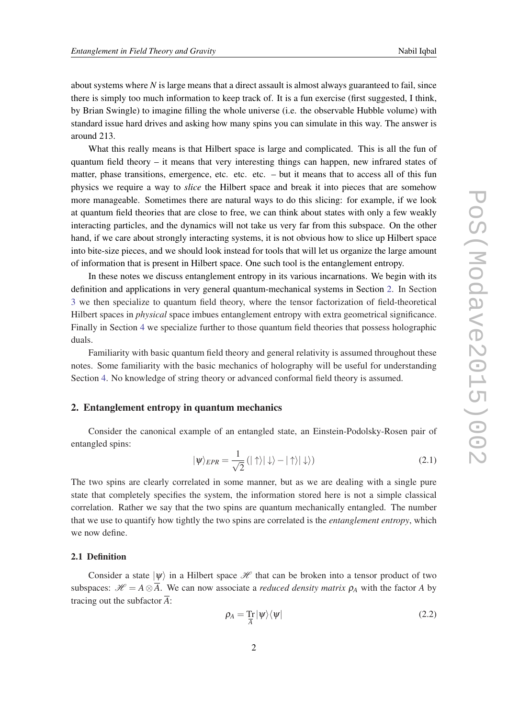<span id="page-2-0"></span>about systems where  $N$  is large means that a direct assault is almost always guaranteed to fail, since there is simply too much information to keep track of. It is a fun exercise (first suggested, I think, by Brian Swingle) to imagine filling the whole universe (i.e. the observable Hubble volume) with standard issue hard drives and asking how many spins you can simulate in this way. The answer is around 213.

What this really means is that Hilbert space is large and complicated. This is all the fun of quantum field theory – it means that very interesting things can happen, new infrared states of matter, phase transitions, emergence, etc. etc. etc. – but it means that to access all of this fun physics we require a way to *slice* the Hilbert space and break it into pieces that are somehow more manageable. Sometimes there are natural ways to do this slicing: for example, if we look at quantum field theories that are close to free, we can think about states with only a few weakly interacting particles, and the dynamics will not take us very far from this subspace. On the other hand, if we care about strongly interacting systems, it is not obvious how to slice up Hilbert space into bite-size pieces, and we should look instead for tools that will let us organize the large amount of information that is present in Hilbert space. One such tool is the entanglement entropy.

In these notes we discuss entanglement entropy in its various incarnations. We begin with its definition and applications in very general quantum-mechanical systems in Section 2. In Section [3](#page-4-0) we then specialize to quantum field theory, where the tensor factorization of field-theoretical Hilbert spaces in *physical* space imbues entanglement entropy with extra geometrical significance. Finally in Section [4](#page-13-0) we specialize further to those quantum field theories that possess holographic duals.

Familiarity with basic quantum field theory and general relativity is assumed throughout these notes. Some familiarity with the basic mechanics of holography will be useful for understanding Section [4](#page-13-0). No knowledge of string theory or advanced conformal field theory is assumed.

## 2. Entanglement entropy in quantum mechanics

Consider the canonical example of an entangled state, an Einstein-Podolsky-Rosen pair of entangled spins:

$$
|\psi\rangle_{EPR} = \frac{1}{\sqrt{2}} (|\uparrow\rangle|\downarrow\rangle - |\uparrow\rangle|\downarrow\rangle)
$$
 (2.1)

The two spins are clearly correlated in some manner, but as we are dealing with a single pure state that completely specifies the system, the information stored here is not a simple classical correlation. Rather we say that the two spins are quantum mechanically entangled. The number that we use to quantify how tightly the two spins are correlated is the *entanglement entropy*, which we now define.

## 2.1 Definition

Consider a state  $|\psi\rangle$  in a Hilbert space  $\mathcal H$  that can be broken into a tensor product of two subspaces:  $\mathcal{H} = A \otimes \overline{A}$ . We can now associate a *reduced density matrix*  $\rho_A$  with the factor *A* by tracing out the subfactor  $\overline{A}$ :

$$
\rho_A = \frac{\mathrm{Tr}}{A} |\psi\rangle\langle\psi| \tag{2.2}
$$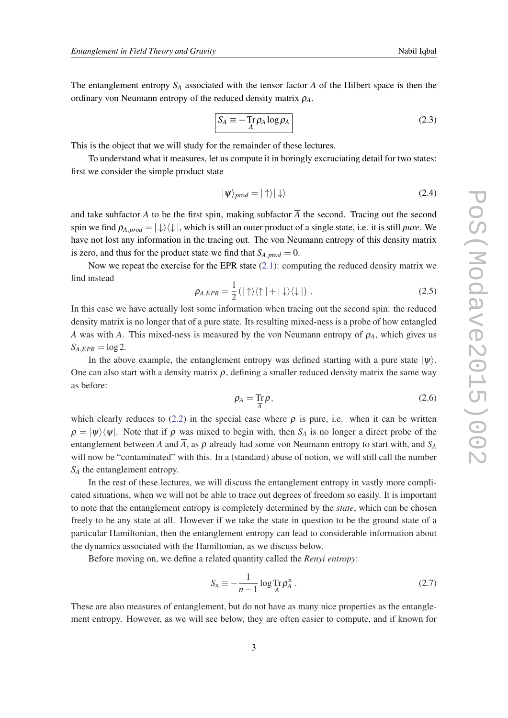<span id="page-3-0"></span>The entanglement entropy *S<sup>A</sup>* associated with the tensor factor *A* of the Hilbert space is then the ordinary von Neumann entropy of the reduced density matrix ρ*A*.

$$
S_A \equiv -\operatorname{Tr}_{A} \rho_A \log \rho_A \tag{2.3}
$$

This is the object that we will study for the remainder of these lectures.

To understand what it measures, let us compute it in boringly excruciating detail for two states: first we consider the simple product state

$$
|\psi\rangle_{prod} = |\uparrow\rangle|\downarrow\rangle \tag{2.4}
$$

and take subfactor *A* to be the first spin, making subfactor  $\overline{A}$  the second. Tracing out the second spin we find  $\rho_{A,prod} = |\downarrow\rangle\langle\downarrow|$ , which is still an outer product of a single state, i.e. it is still *pure*. We have not lost any information in the tracing out. The von Neumann entropy of this density matrix is zero, and thus for the product state we find that  $S_{A,prod} = 0$ .

Now we repeat the exercise for the EPR state  $(2.1)$ : computing the reduced density matrix we find instead

$$
\rho_{A, EPR} = \frac{1}{2} (|\uparrow\rangle\langle\uparrow| + |\downarrow\rangle\langle\downarrow|) \ . \tag{2.5}
$$

In this case we have actually lost some information when tracing out the second spin: the reduced density matrix is no longer that of a pure state. Its resulting mixed-ness is a probe of how entangled  $\overline{A}$  was with *A*. This mixed-ness is measured by the von Neumann entropy of  $\rho_A$ , which gives us  $S_{A, EPR} = \log 2$ .

In the above example, the entanglement entropy was defined starting with a pure state  $|\psi\rangle$ . One can also start with a density matrix  $\rho$ , defining a smaller reduced density matrix the same way as before:

$$
\rho_A = \mathop{\rm Tr}_{\bar{A}} \rho,\tag{2.6}
$$

which clearly reduces to [\(2.2\)](#page-2-0) in the special case where  $\rho$  is pure, i.e. when it can be written  $\rho = |\psi\rangle\langle\psi|$ . Note that if  $\rho$  was mixed to begin with, then *S<sub>A</sub>* is no longer a direct probe of the entanglement between *A* and  $\overline{A}$ , as  $\rho$  already had some von Neumann entropy to start with, and  $S_A$ will now be "contaminated" with this. In a (standard) abuse of notion, we will still call the number *S<sup>A</sup>* the entanglement entropy.

In the rest of these lectures, we will discuss the entanglement entropy in vastly more complicated situations, when we will not be able to trace out degrees of freedom so easily. It is important to note that the entanglement entropy is completely determined by the *state*, which can be chosen freely to be any state at all. However if we take the state in question to be the ground state of a particular Hamiltonian, then the entanglement entropy can lead to considerable information about the dynamics associated with the Hamiltonian, as we discuss below.

Before moving on, we define a related quantity called the *Renyi entropy*:

$$
S_n \equiv -\frac{1}{n-1} \log \text{Tr} \rho_A^n \,. \tag{2.7}
$$

These are also measures of entanglement, but do not have as many nice properties as the entanglement entropy. However, as we will see below, they are often easier to compute, and if known for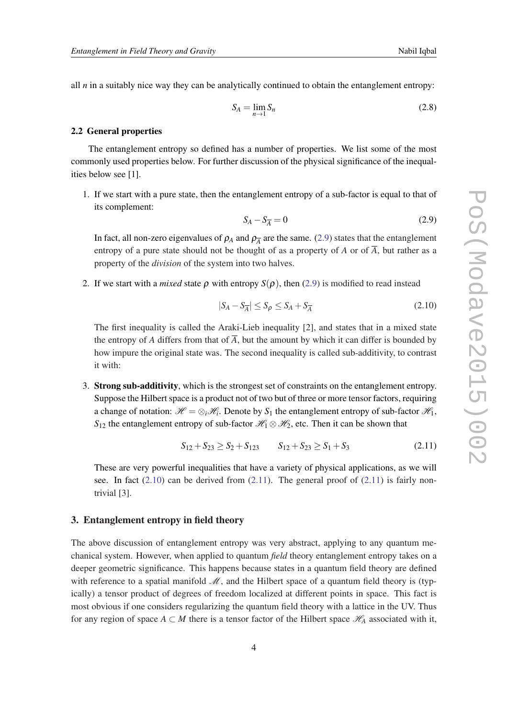<span id="page-4-0"></span>all *n* in a suitably nice way they can be analytically continued to obtain the entanglement entropy:

$$
S_A = \lim_{n \to 1} S_n \tag{2.8}
$$

#### 2.2 General properties

The entanglement entropy so defined has a number of properties. We list some of the most commonly used properties below. For further discussion of the physical significance of the inequalities below see [1].

1. If we start with a pure state, then the entanglement entropy of a sub-factor is equal to that of its complement:

$$
S_A - S_{\overline{A}} = 0 \tag{2.9}
$$

In fact, all non-zero eigenvalues of  $\rho_A$  and  $\rho_{\overline{A}}$  are the same. (2.9) states that the entanglement entropy of a pure state should not be thought of as a property of *A* or of  $\overline{A}$ , but rather as a property of the *division* of the system into two halves.

2. If we start with a *mixed* state  $\rho$  with entropy  $S(\rho)$ , then (2.9) is modified to read instead

$$
|S_A - S_{\overline{A}}| \le S_\rho \le S_A + S_{\overline{A}} \tag{2.10}
$$

The first inequality is called the Araki-Lieb inequality [2], and states that in a mixed state the entropy of *A* differs from that of  $\overline{A}$ , but the amount by which it can differ is bounded by how impure the original state was. The second inequality is called sub-additivity, to contrast it with:

3. Strong sub-additivity, which is the strongest set of constraints on the entanglement entropy. Suppose the Hilbert space is a product not of two but of three or more tensor factors, requiring a change of notation:  $\mathcal{H} = \otimes_i \mathcal{H}_i$ . Denote by  $S_1$  the entanglement entropy of sub-factor  $\mathcal{H}_1$ , *S*<sub>12</sub> the entanglement entropy of sub-factor  $\mathcal{H}_1 \otimes \mathcal{H}_2$ , etc. Then it can be shown that

$$
S_{12} + S_{23} \ge S_2 + S_{123} \qquad S_{12} + S_{23} \ge S_1 + S_3 \tag{2.11}
$$

These are very powerful inequalities that have a variety of physical applications, as we will see. In fact  $(2.10)$  can be derived from  $(2.11)$ . The general proof of  $(2.11)$  is fairly nontrivial [3].

## 3. Entanglement entropy in field theory

The above discussion of entanglement entropy was very abstract, applying to any quantum mechanical system. However, when applied to quantum *field* theory entanglement entropy takes on a deeper geometric significance. This happens because states in a quantum field theory are defined with reference to a spatial manifold  $\mathcal{M}$ , and the Hilbert space of a quantum field theory is (typically) a tensor product of degrees of freedom localized at different points in space. This fact is most obvious if one considers regularizing the quantum field theory with a lattice in the UV. Thus for any region of space  $A \subset M$  there is a tensor factor of the Hilbert space  $\mathcal{H}_A$  associated with it,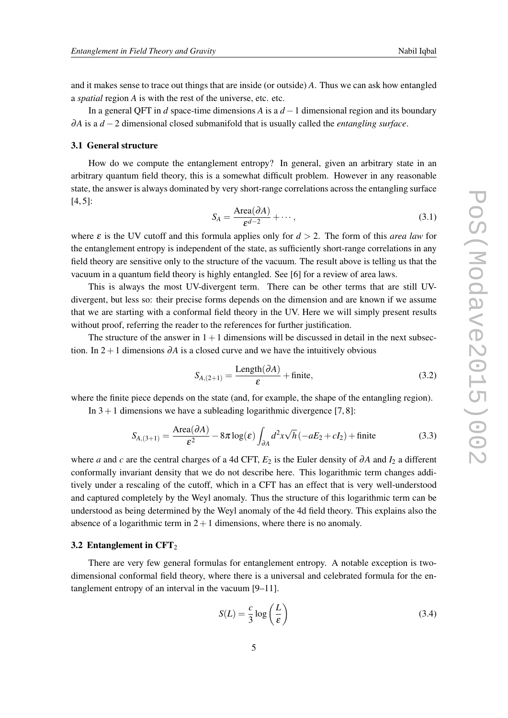<span id="page-5-0"></span>and it makes sense to trace out things that are inside (or outside) *A*. Thus we can ask how entangled a *spatial* region *A* is with the rest of the universe, etc. etc.

In a general QFT in *d* space-time dimensions *A* is a *d* −1 dimensional region and its boundary ∂*A* is a *d* −2 dimensional closed submanifold that is usually called the *entangling surface*.

#### 3.1 General structure

How do we compute the entanglement entropy? In general, given an arbitrary state in an arbitrary quantum field theory, this is a somewhat difficult problem. However in any reasonable state, the answer is always dominated by very short-range correlations across the entangling surface [4, 5]:

$$
S_A = \frac{\text{Area}(\partial A)}{\varepsilon^{d-2}} + \cdots, \tag{3.1}
$$

where  $\varepsilon$  is the UV cutoff and this formula applies only for  $d > 2$ . The form of this *area law* for the entanglement entropy is independent of the state, as sufficiently short-range correlations in any field theory are sensitive only to the structure of the vacuum. The result above is telling us that the vacuum in a quantum field theory is highly entangled. See [6] for a review of area laws.

This is always the most UV-divergent term. There can be other terms that are still UVdivergent, but less so: their precise forms depends on the dimension and are known if we assume that we are starting with a conformal field theory in the UV. Here we will simply present results without proof, referring the reader to the references for further justification.

The structure of the answer in  $1+1$  dimensions will be discussed in detail in the next subsection. In  $2+1$  dimensions  $\partial A$  is a closed curve and we have the intuitively obvious

$$
S_{A,(2+1)} = \frac{\text{Length}(\partial A)}{\varepsilon} + \text{finite},\tag{3.2}
$$

where the finite piece depends on the state (and, for example, the shape of the entangling region). In  $3+1$  dimensions we have a subleading logarithmic divergence [7,8]:

$$
S_{A,(3+1)} = \frac{\text{Area}(\partial A)}{\varepsilon^2} - 8\pi \log(\varepsilon) \int_{\partial A} d^2 x \sqrt{h} \left( -aE_2 + cI_2 \right) + \text{finite}
$$
 (3.3)

where *a* and *c* are the central charges of a 4d CFT,  $E_2$  is the Euler density of ∂*A* and  $I_2$  a different conformally invariant density that we do not describe here. This logarithmic term changes additively under a rescaling of the cutoff, which in a CFT has an effect that is very well-understood and captured completely by the Weyl anomaly. Thus the structure of this logarithmic term can be understood as being determined by the Weyl anomaly of the 4d field theory. This explains also the absence of a logarithmic term in  $2+1$  dimensions, where there is no anomaly.

#### 3.2 Entanglement in  $CFT<sub>2</sub>$

There are very few general formulas for entanglement entropy. A notable exception is twodimensional conformal field theory, where there is a universal and celebrated formula for the entanglement entropy of an interval in the vacuum [9–11].

$$
S(L) = \frac{c}{3} \log \left(\frac{L}{\varepsilon}\right) \tag{3.4}
$$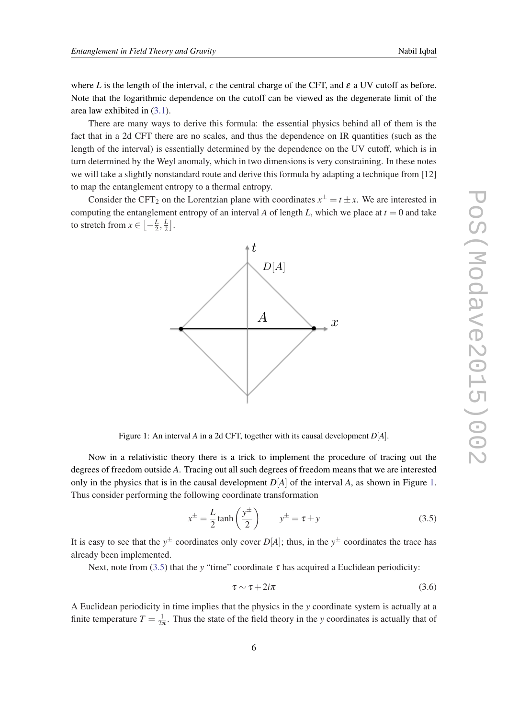<span id="page-6-0"></span>where *L* is the length of the interval, *c* the central charge of the CFT, and  $\varepsilon$  a UV cutoff as before. Note that the logarithmic dependence on the cutoff can be viewed as the degenerate limit of the area law exhibited in ([3.1](#page-5-0)).

There are many ways to derive this formula: the essential physics behind all of them is the fact that in a 2d CFT there are no scales, and thus the dependence on IR quantities (such as the length of the interval) is essentially determined by the dependence on the UV cutoff, which is in turn determined by the Weyl anomaly, which in two dimensions is very constraining. In these notes we will take a slightly nonstandard route and derive this formula by adapting a technique from [12] to map the entanglement entropy to a thermal entropy.

Consider the CFT<sub>2</sub> on the Lorentzian plane with coordinates  $x^{\pm} = t \pm x$ . We are interested in computing the entanglement entropy of an interval *A* of length *L*, which we place at  $t = 0$  and take to stretch from  $x \in \left[-\frac{L}{2}\right]$  $\frac{L}{2}, \frac{L}{2}$  $\frac{L}{2}$ .



Figure 1: An interval *A* in a 2d CFT, together with its causal development *D*[*A*].

Now in a relativistic theory there is a trick to implement the procedure of tracing out the degrees of freedom outside *A*. Tracing out all such degrees of freedom means that we are interested only in the physics that is in the causal development  $D[A]$  of the interval A, as shown in Figure 1. Thus consider performing the following coordinate transformation

$$
x^{\pm} = \frac{L}{2} \tanh\left(\frac{y^{\pm}}{2}\right) \qquad y^{\pm} = \tau \pm y \tag{3.5}
$$

It is easy to see that the  $y^{\pm}$  coordinates only cover  $D[A]$ ; thus, in the  $y^{\pm}$  coordinates the trace has already been implemented.

Next, note from (3.5) that the *y* "time" coordinate  $\tau$  has acquired a Euclidean periodicity:

$$
\tau \sim \tau + 2i\pi \tag{3.6}
$$

A Euclidean periodicity in time implies that the physics in the *y* coordinate system is actually at a finite temperature  $T = \frac{1}{2i}$  $\frac{1}{2\pi}$ . Thus the state of the field theory in the *y* coordinates is actually that of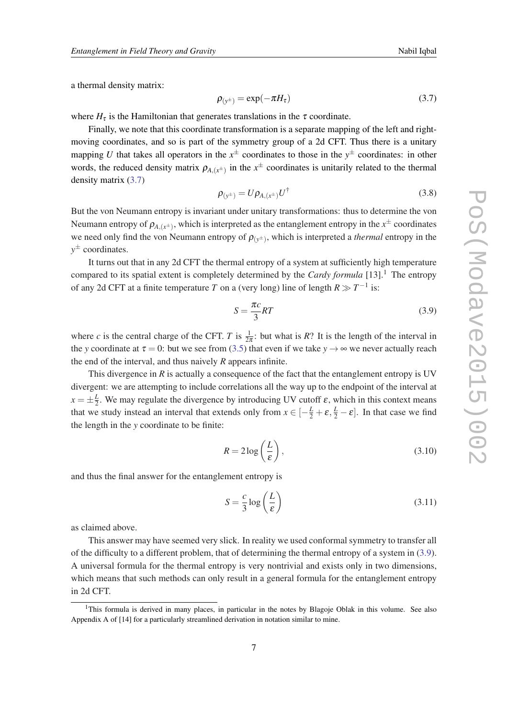<span id="page-7-0"></span>a thermal density matrix:

$$
\rho_{(y^{\pm})} = \exp(-\pi H_{\tau}) \tag{3.7}
$$

where  $H_{\tau}$  is the Hamiltonian that generates translations in the  $\tau$  coordinate.

Finally, we note that this coordinate transformation is a separate mapping of the left and rightmoving coordinates, and so is part of the symmetry group of a 2d CFT. Thus there is a unitary mapping *U* that takes all operators in the  $x^{\pm}$  coordinates to those in the  $y^{\pm}$  coordinates: in other words, the reduced density matrix  $\rho_{A,(x^{\pm})}$  in the  $x^{\pm}$  coordinates is unitarily related to the thermal density matrix (3.7)

$$
\rho_{(y^{\pm})} = U \rho_{A,(x^{\pm})} U^{\dagger} \tag{3.8}
$$

But the von Neumann entropy is invariant under unitary transformations: thus to determine the von Neumann entropy of  $\rho_{A,(x^{\pm})}$ , which is interpreted as the entanglement entropy in the  $x^{\pm}$  coordinates we need only find the von Neumann entropy of  $\rho_{(y^{\pm})}$ , which is interpreted a *thermal* entropy in the *y* <sup>±</sup> coordinates.

It turns out that in any 2d CFT the thermal entropy of a system at sufficiently high temperature compared to its spatial extent is completely determined by the *Cardy formula*  $[13]$ .<sup>1</sup> The entropy of any 2d CFT at a finite temperature *T* on a (very long) line of length  $R \gg T^{-1}$  is:

$$
S = \frac{\pi c}{3} RT \tag{3.9}
$$

where *c* is the central charge of the CFT. *T* is  $\frac{1}{2\pi}$ : but what is *R*? It is the length of the interval in the *y* coordinate at  $\tau = 0$ : but we see from ([3.5\)](#page-6-0) that even if we take  $y \to \infty$  we never actually reach the end of the interval, and thus naively *R* appears infinite.

This divergence in *R* is actually a consequence of the fact that the entanglement entropy is UV divergent: we are attempting to include correlations all the way up to the endpoint of the interval at  $x = \pm \frac{L}{2}$  $\frac{L}{2}$ . We may regulate the divergence by introducing UV cutoff  $\varepsilon$ , which in this context means that we study instead an interval that extends only from  $x \in [-\frac{L}{2} + \varepsilon, \frac{L}{2} - \varepsilon]$ . In that case we find the length in the *y* coordinate to be finite:

$$
R = 2\log\left(\frac{L}{\varepsilon}\right),\tag{3.10}
$$

and thus the final answer for the entanglement entropy is

$$
S = \frac{c}{3} \log \left(\frac{L}{\varepsilon}\right) \tag{3.11}
$$

as claimed above.

This answer may have seemed very slick. In reality we used conformal symmetry to transfer all of the difficulty to a different problem, that of determining the thermal entropy of a system in (3.9). A universal formula for the thermal entropy is very nontrivial and exists only in two dimensions, which means that such methods can only result in a general formula for the entanglement entropy in 2d CFT.

<sup>&</sup>lt;sup>1</sup>This formula is derived in many places, in particular in the notes by Blagoje Oblak in this volume. See also Appendix A of [14] for a particularly streamlined derivation in notation similar to mine.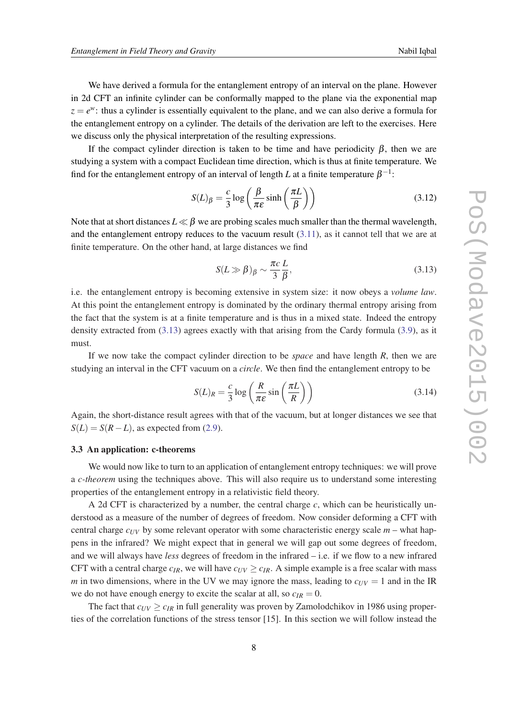<span id="page-8-0"></span>We have derived a formula for the entanglement entropy of an interval on the plane. However in 2d CFT an infinite cylinder can be conformally mapped to the plane via the exponential map  $z = e^w$ : thus a cylinder is essentially equivalent to the plane, and we can also derive a formula for the entanglement entropy on a cylinder. The details of the derivation are left to the exercises. Here we discuss only the physical interpretation of the resulting expressions.

If the compact cylinder direction is taken to be time and have periodicity  $\beta$ , then we are studying a system with a compact Euclidean time direction, which is thus at finite temperature. We find for the entanglement entropy of an interval of length *L* at a finite temperature  $\beta^{-1}$ :

$$
S(L)_{\beta} = \frac{c}{3} \log \left( \frac{\beta}{\pi \varepsilon} \sinh \left( \frac{\pi L}{\beta} \right) \right) \tag{3.12}
$$

Note that at short distances  $L \ll \beta$  we are probing scales much smaller than the thermal wavelength, and the entanglement entropy reduces to the vacuum result [\(3.11\)](#page-7-0), as it cannot tell that we are at finite temperature. On the other hand, at large distances we find

$$
S(L \gg \beta)_{\beta} \sim \frac{\pi c}{3} \frac{L}{\beta},\tag{3.13}
$$

i.e. the entanglement entropy is becoming extensive in system size: it now obeys a *volume law*. At this point the entanglement entropy is dominated by the ordinary thermal entropy arising from the fact that the system is at a finite temperature and is thus in a mixed state. Indeed the entropy density extracted from (3.13) agrees exactly with that arising from the Cardy formula ([3.9\)](#page-7-0), as it must.

If we now take the compact cylinder direction to be *space* and have length *R*, then we are studying an interval in the CFT vacuum on a *circle*. We then find the entanglement entropy to be

$$
S(L)_R = \frac{c}{3} \log \left( \frac{R}{\pi \varepsilon} \sin \left( \frac{\pi L}{R} \right) \right) \tag{3.14}
$$

Again, the short-distance result agrees with that of the vacuum, but at longer distances we see that  $S(L) = S(R - L)$ , as expected from [\(2.9\)](#page-4-0).

#### 3.3 An application: c-theorems

We would now like to turn to an application of entanglement entropy techniques: we will prove a *c-theorem* using the techniques above. This will also require us to understand some interesting properties of the entanglement entropy in a relativistic field theory.

A 2d CFT is characterized by a number, the central charge  $c$ , which can be heuristically understood as a measure of the number of degrees of freedom. Now consider deforming a CFT with central charge  $c_{UV}$  by some relevant operator with some characteristic energy scale  $m$  – what happens in the infrared? We might expect that in general we will gap out some degrees of freedom, and we will always have *less* degrees of freedom in the infrared – i.e. if we flow to a new infrared CFT with a central charge  $c_{IR}$ , we will have  $c_{UV} \geq c_{IR}$ . A simple example is a free scalar with mass *m* in two dimensions, where in the UV we may ignore the mass, leading to  $c_{UV} = 1$  and in the IR we do not have enough energy to excite the scalar at all, so  $c_{IR} = 0$ .

The fact that  $c_{UV} \geq c_{IR}$  in full generality was proven by Zamolodchikov in 1986 using properties of the correlation functions of the stress tensor [15]. In this section we will follow instead the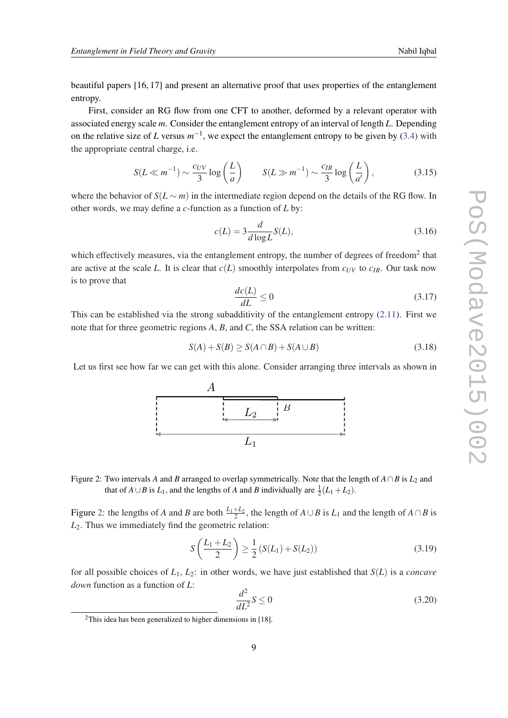<span id="page-9-0"></span>beautiful papers [16, 17] and present an alternative proof that uses properties of the entanglement entropy.

First, consider an RG flow from one CFT to another, deformed by a relevant operator with associated energy scale *m*. Consider the entanglement entropy of an interval of length *L*. Depending on the relative size of *L* versus  $m^{-1}$ , we expect the entanglement entropy to be given by [\(3.4](#page-5-0)) with the appropriate central charge, i.e.

$$
S(L \ll m^{-1}) \sim \frac{c_{UV}}{3} \log\left(\frac{L}{a}\right) \qquad S(L \gg m^{-1}) \sim \frac{c_{IR}}{3} \log\left(\frac{L}{a'}\right),\tag{3.15}
$$

where the behavior of  $S(L \sim m)$  in the intermediate region depend on the details of the RG flow. In other words, we may define a *c*-function as a function of *L* by:

$$
c(L) = 3 \frac{d}{d \log L} S(L),
$$
\n(3.16)

which effectively measures, via the entanglement entropy, the number of degrees of freedom $2$  that are active at the scale *L*. It is clear that  $c(L)$  smoothly interpolates from  $c_{UV}$  to  $c_{IR}$ . Our task now is to prove that

$$
\frac{dc(L)}{dL} \le 0\tag{3.17}
$$

This can be established via the strong subadditivity of the entanglement entropy [\(2.11](#page-4-0)). First we note that for three geometric regions *A*, *B*, and *C*, the SSA relation can be written:

$$
S(A) + S(B) \ge S(A \cap B) + S(A \cup B)
$$
\n
$$
(3.18)
$$

Let us first see how far we can get with this alone. Consider arranging three intervals as shown in



Figure 2: Two intervals *A* and *B* arranged to overlap symmetrically. Note that the length of  $A \cap B$  is  $L_2$  and that of *A* ∪*B* is *L*<sub>1</sub>, and the lengths of *A* and *B* individually are  $\frac{1}{2}(L_1 + L_2)$ .

Figure 2: the lengths of *A* and *B* are both  $\frac{L_1 + L_2}{2}$ , the length of *A*∪*B* is *L*<sub>1</sub> and the length of *A*∩*B* is *L*2. Thus we immediately find the geometric relation:

$$
S\left(\frac{L_1 + L_2}{2}\right) \ge \frac{1}{2} \left( S(L_1) + S(L_2) \right) \tag{3.19}
$$

for all possible choices of *L*1, *L*2: in other words, we have just established that *S*(*L*) is a *concave down* function as a function of *L*:

$$
\frac{d^2}{dL^2}S \le 0\tag{3.20}
$$

<sup>&</sup>lt;sup>2</sup>This idea has been generalized to higher dimensions in [18].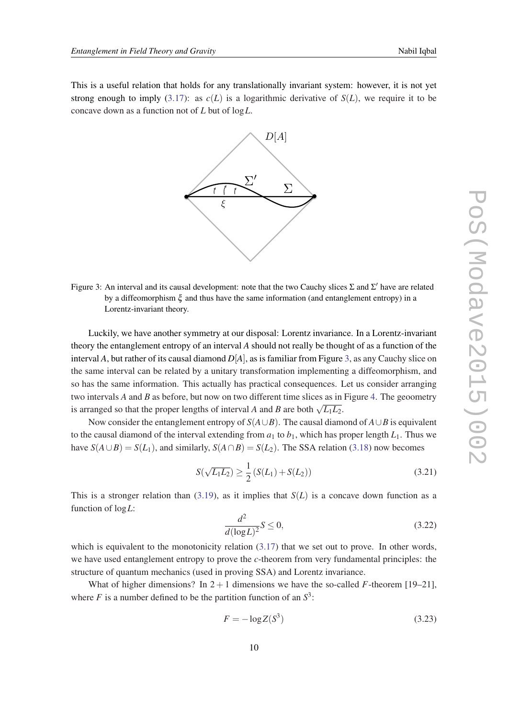This is a useful relation that holds for any translationally invariant system: however, it is not yet strong enough to imply  $(3.17)$  $(3.17)$ : as  $c(L)$  is a logarithmic derivative of  $S(L)$ , we require it to be concave down as a function not of *L* but of log*L*.



Figure 3: An interval and its causal development: note that the two Cauchy slices  $\Sigma$  and  $\Sigma'$  have are related by a diffeomorphism  $\xi$  and thus have the same information (and entanglement entropy) in a Lorentz-invariant theory.

Luckily, we have another symmetry at our disposal: Lorentz invariance. In a Lorentz-invariant theory the entanglement entropy of an interval *A* should not really be thought of as a function of the interval *A*, but rather of its causal diamond *D*[*A*], as is familiar from Figure 3, as any Cauchy slice on the same interval can be related by a unitary transformation implementing a diffeomorphism, and so has the same information. This actually has practical consequences. Let us consider arranging two intervals *A* and *B* as before, but now on two different time slices as in Figure [4.](#page-11-0) The geoometry is arranged so that the proper lengths of interval *A* and *B* are both  $\sqrt{L_1L_2}$ .

Now consider the entanglement entropy of  $S(A \cup B)$ . The causal diamond of  $A \cup B$  is equivalent to the causal diamond of the interval extending from  $a_1$  to  $b_1$ , which has proper length  $L_1$ . Thus we have  $S(A \cup B) = S(L_1)$ , and similarly,  $S(A \cap B) = S(L_2)$ . The SSA relation [\(3.18](#page-9-0)) now becomes

$$
S(\sqrt{L_1 L_2}) \ge \frac{1}{2} \left( S(L_1) + S(L_2) \right) \tag{3.21}
$$

This is a stronger relation than [\(3.19](#page-9-0)), as it implies that  $S(L)$  is a concave down function as a function of log*L*:

$$
\frac{d^2}{d(\log L)^2} S \le 0,\tag{3.22}
$$

which is equivalent to the monotonicity relation  $(3.17)$  $(3.17)$  that we set out to prove. In other words, we have used entanglement entropy to prove the *c*-theorem from very fundamental principles: the structure of quantum mechanics (used in proving SSA) and Lorentz invariance.

What of higher dimensions? In  $2 + 1$  dimensions we have the so-called *F*-theorem [19–21], where *F* is a number defined to be the partition function of an  $S^3$ :

$$
F = -\log Z(S^3) \tag{3.23}
$$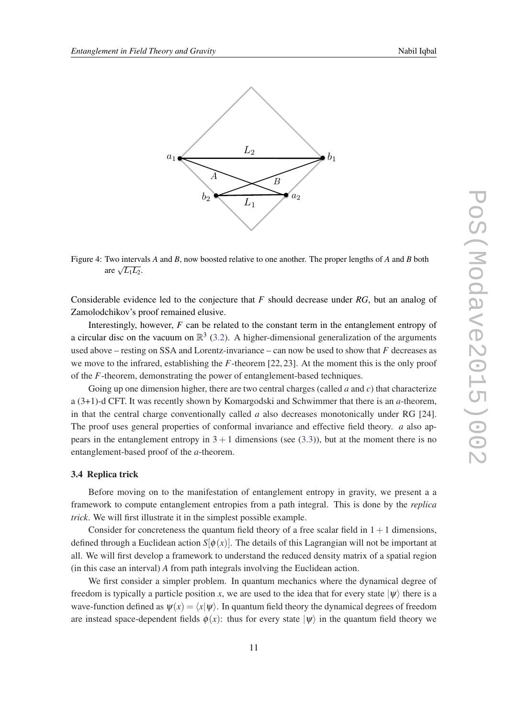<span id="page-11-0"></span>

Figure 4: Two intervals *A* and *B*, now boosted relative to one another. The proper lengths of *A* and *B* both are  $\sqrt{L_1 L_2}$ .

Considerable evidence led to the conjecture that *F* should decrease under *RG*, but an analog of Zamolodchikov's proof remained elusive.

Interestingly, however, *F* can be related to the constant term in the entanglement entropy of a circular disc on the vacuum on  $\mathbb{R}^3$  ([3.2](#page-5-0)). A higher-dimensional generalization of the arguments used above – resting on SSA and Lorentz-invariance – can now be used to show that *F* decreases as we move to the infrared, establishing the *F*-theorem [22, 23]. At the moment this is the only proof of the *F*-theorem, demonstrating the power of entanglement-based techniques.

Going up one dimension higher, there are two central charges (called *a* and *c*) that characterize a (3+1)-d CFT. It was recently shown by Komargodski and Schwimmer that there is an *a*-theorem, in that the central charge conventionally called *a* also decreases monotonically under RG [24]. The proof uses general properties of conformal invariance and effective field theory. *a* also appears in the entanglement entropy in  $3 + 1$  dimensions (see [\(3.3](#page-5-0))), but at the moment there is no entanglement-based proof of the *a*-theorem.

## 3.4 Replica trick

Before moving on to the manifestation of entanglement entropy in gravity, we present a a framework to compute entanglement entropies from a path integral. This is done by the *replica trick*. We will first illustrate it in the simplest possible example.

Consider for concreteness the quantum field theory of a free scalar field in  $1+1$  dimensions, defined through a Euclidean action  $S[\phi(x)]$ . The details of this Lagrangian will not be important at all. We will first develop a framework to understand the reduced density matrix of a spatial region (in this case an interval) *A* from path integrals involving the Euclidean action.

We first consider a simpler problem. In quantum mechanics where the dynamical degree of freedom is typically a particle position x, we are used to the idea that for every state  $|\psi\rangle$  there is a wave-function defined as  $\psi(x) = \langle x | \psi \rangle$ . In quantum field theory the dynamical degrees of freedom are instead space-dependent fields  $\phi(x)$ : thus for every state  $|\psi\rangle$  in the quantum field theory we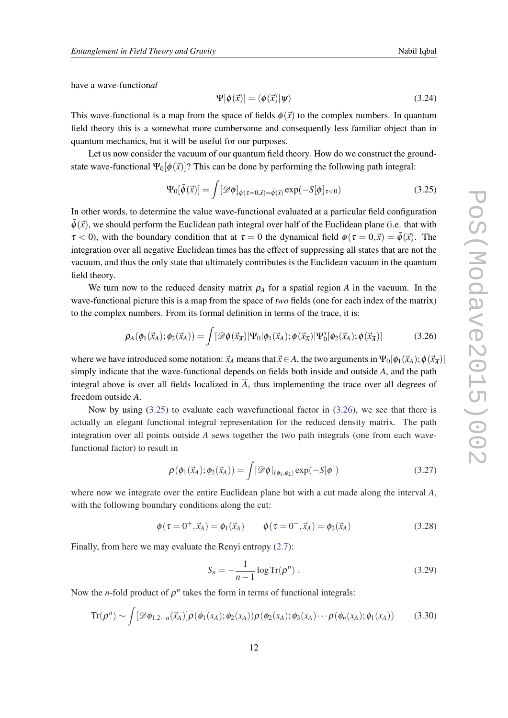have a wave-function*al*

$$
\Psi[\phi(\vec{x})] = \langle \phi(\vec{x}) | \psi \rangle \tag{3.24}
$$

This wave-functional is a map from the space of fields  $\phi(\vec{x})$  to the complex numbers. In quantum field theory this is a somewhat more cumbersome and consequently less familiar object than in quantum mechanics, but it will be useful for our purposes.

Let us now consider the vacuum of our quantum field theory. How do we construct the groundstate wave-functional  $\Psi_0[\phi(\vec{x})]$ ? This can be done by performing the following path integral:

$$
\Psi_0[\bar{\phi}(\vec{x})] = \int [\mathscr{D}\phi]_{\phi(\tau=0,\vec{x})=\bar{\phi}(\vec{x})} \exp(-S[\phi]_{\tau<0})
$$
\n(3.25)

In other words, to determine the value wave-functional evaluated at a particular field configuration  $\bar{\phi}(\vec{x})$ , we should perform the Euclidean path integral over half of the Euclidean plane (i.e. that with  $\tau < 0$ ), with the boundary condition that at  $\tau = 0$  the dynamical field  $\phi(\tau = 0,\vec{x}) = \bar{\phi}(\vec{x})$ . The integration over all negative Euclidean times has the effect of suppressing all states that are not the vacuum, and thus the only state that ultimately contributes is the Euclidean vacuum in the quantum field theory.

We turn now to the reduced density matrix  $\rho_A$  for a spatial region *A* in the vacuum. In the wave-functional picture this is a map from the space of *two* fields (one for each index of the matrix) to the complex numbers. From its formal definition in terms of the trace, it is:

$$
\rho_A(\phi_1(\vec{x}_A); \phi_2(\vec{x}_A)) = \int [\mathscr{D}\phi(\vec{x}_{\overline{A}})] \Psi_0[\phi_1(\vec{x}_A); \phi(\vec{x}_{\overline{A}})] \Psi_0^*[\phi_2(\vec{x}_A); \phi(\vec{x}_{\overline{A}})] \tag{3.26}
$$

where we have introduced some notation:  $\vec{x}_A$  means that  $\vec{x} \in A$ , the two arguments in  $\Psi_0[\phi_1(\vec{x}_A);\phi(\vec{x}_{\overline{A}})]$ simply indicate that the wave-functional depends on fields both inside and outside *A*, and the path integral above is over all fields localized in  $\overline{A}$ , thus implementing the trace over all degrees of freedom outside *A*.

Now by using (3.25) to evaluate each wavefunctional factor in (3.26), we see that there is actually an elegant functional integral representation for the reduced density matrix. The path integration over all points outside *A* sews together the two path integrals (one from each wavefunctional factor) to result in

$$
\rho(\phi_1(\vec{x}_A); \phi_2(\vec{x}_A)) = \int [\mathscr{D}\phi]_{(\phi_1, \phi_2)} \exp(-S[\phi])
$$
\n(3.27)

where now we integrate over the entire Euclidean plane but with a cut made along the interval *A*, with the following boundary conditions along the cut:

$$
\phi(\tau = 0^+, \vec{x}_A) = \phi_1(\vec{x}_A) \qquad \phi(\tau = 0^-, \vec{x}_A) = \phi_2(\vec{x}_A)
$$
\n(3.28)

Finally, from here we may evaluate the Renyi entropy [\(2.7\)](#page-3-0):

$$
S_n = -\frac{1}{n-1}\log \text{Tr}(\rho^n) \tag{3.29}
$$

Now the *n*-fold product of  $\rho^n$  takes the form in terms of functional integrals:

$$
\operatorname{Tr}(\rho^n) \sim \int [\mathscr{D}\phi_{1,2\cdots n}(\vec{x}_A)] \rho(\phi_1(x_A); \phi_2(x_A)) \rho(\phi_2(x_A); \phi_3(x_A) \cdots \rho(\phi_n(x_A); \phi_1(x_A)) \tag{3.30}
$$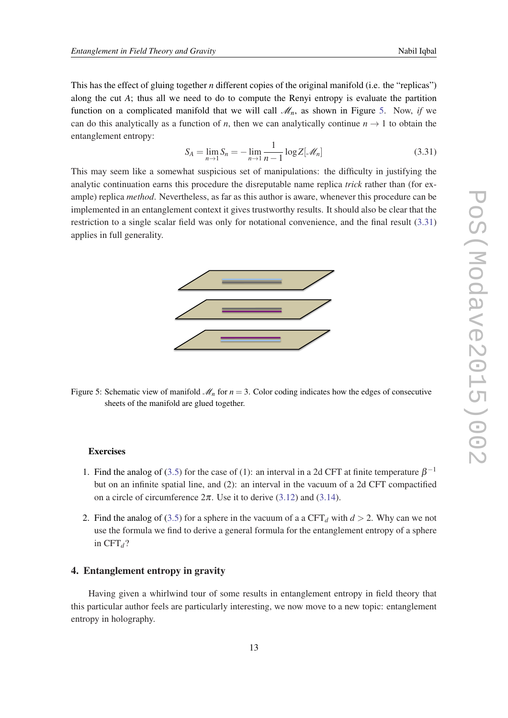<span id="page-13-0"></span>This has the effect of gluing together *n* different copies of the original manifold (i.e. the "replicas") along the cut *A*; thus all we need to do to compute the Renyi entropy is evaluate the partition function on a complicated manifold that we will call  $\mathcal{M}_n$ , as shown in Figure 5. Now, *if* we can do this analytically as a function of *n*, then we can analytically continue  $n \rightarrow 1$  to obtain the entanglement entropy:

$$
S_A = \lim_{n \to 1} S_n = -\lim_{n \to 1} \frac{1}{n-1} \log Z[\mathcal{M}_n]
$$
 (3.31)

This may seem like a somewhat suspicious set of manipulations: the difficulty in justifying the analytic continuation earns this procedure the disreputable name replica *trick* rather than (for example) replica *method*. Nevertheless, as far as this author is aware, whenever this procedure can be implemented in an entanglement context it gives trustworthy results. It should also be clear that the restriction to a single scalar field was only for notational convenience, and the final result (3.31) applies in full generality.



Figure 5: Schematic view of manifold  $\mathcal{M}_n$  for  $n = 3$ . Color coding indicates how the edges of consecutive sheets of the manifold are glued together.

#### **Exercises**

- 1. Find the analog of [\(3.5\)](#page-6-0) for the case of (1): an interval in a 2d CFT at finite temperature  $\beta^{-1}$ but on an infinite spatial line, and (2): an interval in the vacuum of a 2d CFT compactified on a circle of circumference  $2\pi$ . Use it to derive ([3.12\)](#page-8-0) and [\(3.14\)](#page-8-0).
- 2. Find the analog of [\(3.5\)](#page-6-0) for a sphere in the vacuum of a a  $CFT<sub>d</sub>$  with  $d > 2$ . Why can we not use the formula we find to derive a general formula for the entanglement entropy of a sphere in  $CFT<sub>d</sub>$ ?

## 4. Entanglement entropy in gravity

Having given a whirlwind tour of some results in entanglement entropy in field theory that this particular author feels are particularly interesting, we now move to a new topic: entanglement entropy in holography.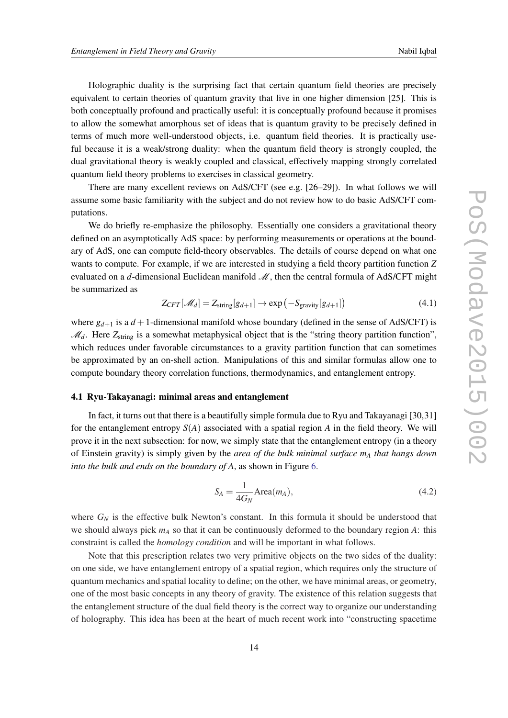<span id="page-14-0"></span>Holographic duality is the surprising fact that certain quantum field theories are precisely equivalent to certain theories of quantum gravity that live in one higher dimension [25]. This is both conceptually profound and practically useful: it is conceptually profound because it promises to allow the somewhat amorphous set of ideas that is quantum gravity to be precisely defined in terms of much more well-understood objects, i.e. quantum field theories. It is practically useful because it is a weak/strong duality: when the quantum field theory is strongly coupled, the dual gravitational theory is weakly coupled and classical, effectively mapping strongly correlated quantum field theory problems to exercises in classical geometry.

There are many excellent reviews on AdS/CFT (see e.g. [26–29]). In what follows we will assume some basic familiarity with the subject and do not review how to do basic AdS/CFT computations.

We do briefly re-emphasize the philosophy. Essentially one considers a gravitational theory defined on an asymptotically AdS space: by performing measurements or operations at the boundary of AdS, one can compute field-theory observables. The details of course depend on what one wants to compute. For example, if we are interested in studying a field theory partition function *Z* evaluated on a  $d$ -dimensional Euclidean manifold  $M$ , then the central formula of AdS/CFT might be summarized as

$$
Z_{CFT}[\mathcal{M}_d] = Z_{\text{string}}[g_{d+1}] \to \exp(-S_{\text{gravity}}[g_{d+1}])
$$
(4.1)

where  $g_{d+1}$  is a  $d+1$ -dimensional manifold whose boundary (defined in the sense of AdS/CFT) is M<sub>d</sub>. Here Z<sub>string</sub> is a somewhat metaphysical object that is the "string theory partition function", which reduces under favorable circumstances to a gravity partition function that can sometimes be approximated by an on-shell action. Manipulations of this and similar formulas allow one to compute boundary theory correlation functions, thermodynamics, and entanglement entropy.

## 4.1 Ryu-Takayanagi: minimal areas and entanglement

In fact, it turns out that there is a beautifully simple formula due to Ryu and Takayanagi [30,31] for the entanglement entropy  $S(A)$  associated with a spatial region A in the field theory. We will prove it in the next subsection: for now, we simply state that the entanglement entropy (in a theory of Einstein gravity) is simply given by the *area of the bulk minimal surface m<sup>A</sup> that hangs down into the bulk and ends on the boundary of A*, as shown in Figure [6](#page-15-0).

$$
S_A = \frac{1}{4G_N} \text{Area}(m_A),\tag{4.2}
$$

where  $G_N$  is the effective bulk Newton's constant. In this formula it should be understood that we should always pick *m<sup>A</sup>* so that it can be continuously deformed to the boundary region *A*: this constraint is called the *homology condition* and will be important in what follows.

Note that this prescription relates two very primitive objects on the two sides of the duality: on one side, we have entanglement entropy of a spatial region, which requires only the structure of quantum mechanics and spatial locality to define; on the other, we have minimal areas, or geometry, one of the most basic concepts in any theory of gravity. The existence of this relation suggests that the entanglement structure of the dual field theory is the correct way to organize our understanding of holography. This idea has been at the heart of much recent work into "constructing spacetime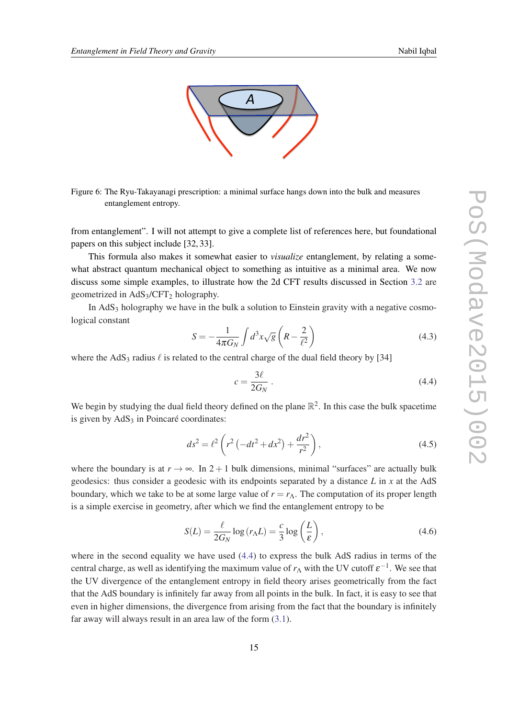<span id="page-15-0"></span>

Figure 6: The Ryu-Takayanagi prescription: a minimal surface hangs down into the bulk and measures entanglement entropy.

from entanglement". I will not attempt to give a complete list of references here, but foundational papers on this subject include [32, 33].

This formula also makes it somewhat easier to *visualize* entanglement, by relating a somewhat abstract quantum mechanical object to something as intuitive as a minimal area. We now discuss some simple examples, to illustrate how the 2d CFT results discussed in Section [3.2](#page-5-0) are geometrized in  $AdS_3/CFT_2$  holography.

In AdS<sub>3</sub> holography we have in the bulk a solution to Einstein gravity with a negative cosmological constant

$$
S = -\frac{1}{4\pi G_N} \int d^3x \sqrt{g} \left( R - \frac{2}{\ell^2} \right) \tag{4.3}
$$

where the AdS<sub>3</sub> radius  $\ell$  is related to the central charge of the dual field theory by [34]

$$
c = \frac{3\ell}{2G_N} \,. \tag{4.4}
$$

We begin by studying the dual field theory defined on the plane  $\mathbb{R}^2$ . In this case the bulk spacetime is given by  $AdS<sub>3</sub>$  in Poincaré coordinates:

$$
ds^{2} = \ell^{2} \left( r^{2} \left( -dt^{2} + dx^{2} \right) + \frac{dr^{2}}{r^{2}} \right),
$$
\n(4.5)

where the boundary is at  $r \to \infty$ . In 2 + 1 bulk dimensions, minimal "surfaces" are actually bulk geodesics: thus consider a geodesic with its endpoints separated by a distance *L* in *x* at the AdS boundary, which we take to be at some large value of  $r = r<sub>Λ</sub>$ . The computation of its proper length is a simple exercise in geometry, after which we find the entanglement entropy to be

$$
S(L) = \frac{\ell}{2G_N} \log(r_\Lambda L) = \frac{c}{3} \log\left(\frac{L}{\varepsilon}\right),\tag{4.6}
$$

where in the second equality we have used  $(4.4)$  to express the bulk AdS radius in terms of the central charge, as well as identifying the maximum value of  $r_A$  with the UV cutoff  $\varepsilon^{-1}$ . We see that the UV divergence of the entanglement entropy in field theory arises geometrically from the fact that the AdS boundary is infinitely far away from all points in the bulk. In fact, it is easy to see that even in higher dimensions, the divergence from arising from the fact that the boundary is infinitely far away will always result in an area law of the form ([3.1\)](#page-5-0).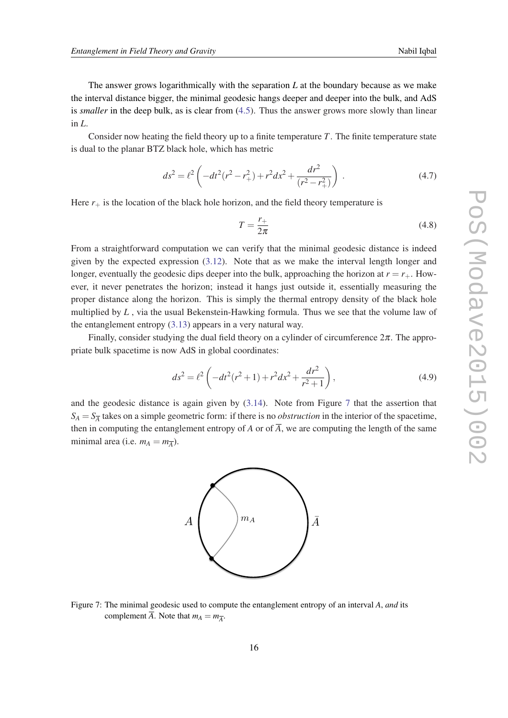<span id="page-16-0"></span>Consider now heating the field theory up to a finite temperature *T*. The finite temperature state is dual to the planar BTZ black hole, which has metric

$$
ds^{2} = \ell^{2} \left( -dt^{2} (r^{2} - r_{+}^{2}) + r^{2} dx^{2} + \frac{dr^{2}}{(r^{2} - r_{+}^{2})} \right).
$$
 (4.7)

Here  $r_{+}$  is the location of the black hole horizon, and the field theory temperature is

$$
T = \frac{r_+}{2\pi} \tag{4.8}
$$

From a straightforward computation we can verify that the minimal geodesic distance is indeed given by the expected expression ([3.12](#page-8-0)). Note that as we make the interval length longer and longer, eventually the geodesic dips deeper into the bulk, approaching the horizon at  $r = r_{+}$ . However, it never penetrates the horizon; instead it hangs just outside it, essentially measuring the proper distance along the horizon. This is simply the thermal entropy density of the black hole multiplied by *L* , via the usual Bekenstein-Hawking formula. Thus we see that the volume law of the entanglement entropy [\(3.13\)](#page-8-0) appears in a very natural way.

Finally, consider studying the dual field theory on a cylinder of circumference  $2\pi$ . The appropriate bulk spacetime is now AdS in global coordinates:

$$
ds^{2} = \ell^{2} \left( -dt^{2} (r^{2} + 1) + r^{2} dx^{2} + \frac{dr^{2}}{r^{2} + 1} \right),
$$
\n(4.9)

and the geodesic distance is again given by  $(3.14)$  $(3.14)$ . Note from Figure 7 that the assertion that  $S_A = S_{\overline{A}}$  takes on a simple geometric form: if there is no *obstruction* in the interior of the spacetime, then in computing the entanglement entropy of *A* or of  $\overline{A}$ , we are computing the length of the same minimal area (i.e.  $m_A = m_{\overline{A}}$ ).



Figure 7: The minimal geodesic used to compute the entanglement entropy of an interval *A*, *and* its complement *A*. Note that  $m_A = m_{\overline{A}}$ .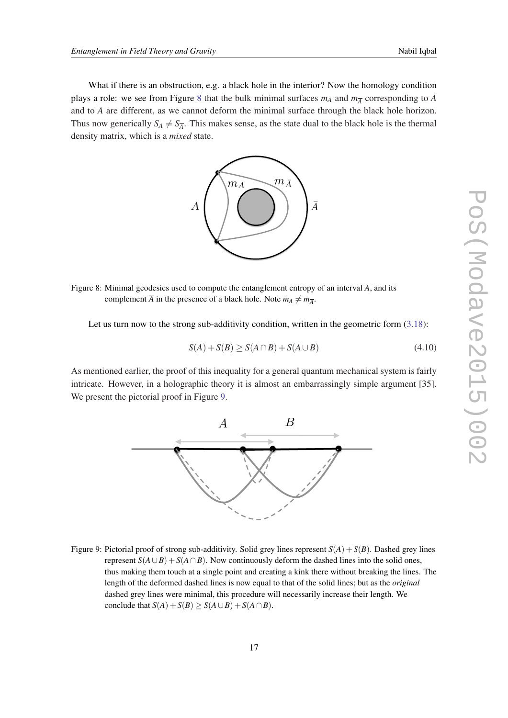What if there is an obstruction, e.g. a black hole in the interior? Now the homology condition plays a role: we see from Figure 8 that the bulk minimal surfaces  $m_A$  and  $m_{\overline{A}}$  corresponding to *A* and to  $\overline{A}$  are different, as we cannot deform the minimal surface through the black hole horizon. Thus now generically  $S_A \neq S_{\overline{A}}$ . This makes sense, as the state dual to the black hole is the thermal density matrix, which is a *mixed* state.



Figure 8: Minimal geodesics used to compute the entanglement entropy of an interval *A*, and its complement  $\overline{A}$  in the presence of a black hole. Note  $m_A \neq m_{\overline{A}}$ .

Let us turn now to the strong sub-additivity condition, written in the geometric form  $(3.18)$  $(3.18)$ :

$$
S(A) + S(B) \ge S(A \cap B) + S(A \cup B)
$$
\n
$$
(4.10)
$$

As mentioned earlier, the proof of this inequality for a general quantum mechanical system is fairly intricate. However, in a holographic theory it is almost an embarrassingly simple argument [35]. We present the pictorial proof in Figure 9.



Figure 9: Pictorial proof of strong sub-additivity. Solid grey lines represent  $S(A) + S(B)$ . Dashed grey lines represent  $S(A \cup B) + S(A \cap B)$ . Now continuously deform the dashed lines into the solid ones, thus making them touch at a single point and creating a kink there without breaking the lines. The length of the deformed dashed lines is now equal to that of the solid lines; but as the *original* dashed grey lines were minimal, this procedure will necessarily increase their length. We conclude that  $S(A) + S(B) \ge S(A \cup B) + S(A \cap B)$ .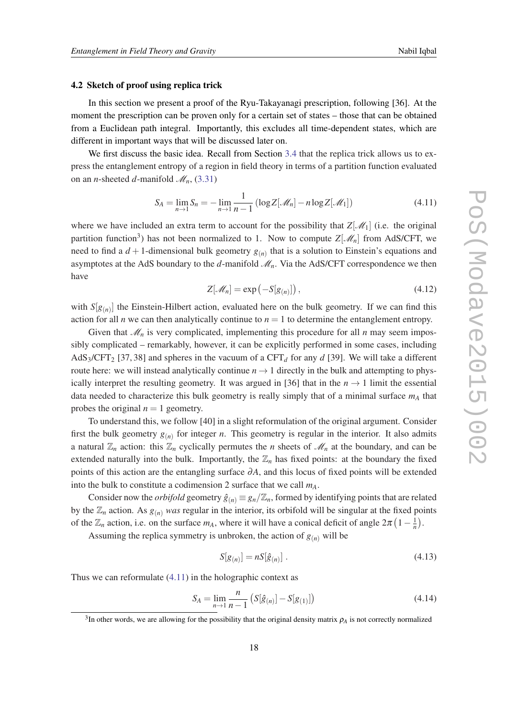#### <span id="page-18-0"></span>4.2 Sketch of proof using replica trick

In this section we present a proof of the Ryu-Takayanagi prescription, following [36]. At the moment the prescription can be proven only for a certain set of states – those that can be obtained from a Euclidean path integral. Importantly, this excludes all time-dependent states, which are different in important ways that will be discussed later on.

We first discuss the basic idea. Recall from Section [3.4](#page-11-0) that the replica trick allows us to express the entanglement entropy of a region in field theory in terms of a partition function evaluated on an *n*-sheeted *d*-manifold  $\mathcal{M}_n$ , ([3.31\)](#page-13-0)

$$
S_A = \lim_{n \to 1} S_n = -\lim_{n \to 1} \frac{1}{n-1} \left( \log Z[\mathcal{M}_n] - n \log Z[\mathcal{M}_1] \right)
$$
(4.11)

where we have included an extra term to account for the possibility that  $Z[\mathcal{M}_1]$  (i.e. the original partition function<sup>3</sup>) has not been normalized to 1. Now to compute  $Z[\mathcal{M}_n]$  from AdS/CFT, we need to find a  $d+1$ -dimensional bulk geometry  $g_{(n)}$  that is a solution to Einstein's equations and asymptotes at the AdS boundary to the  $d$ -manifold  $\mathcal{M}_n$ . Via the AdS/CFT correspondence we then have

$$
Z[\mathcal{M}_n] = \exp(-S[g_{(n)}])\,,\tag{4.12}
$$

with  $S[g_{(n)}]$  the Einstein-Hilbert action, evaluated here on the bulk geometry. If we can find this action for all *n* we can then analytically continue to  $n = 1$  to determine the entanglement entropy.

Given that  $\mathcal{M}_n$  is very complicated, implementing this procedure for all *n* may seem impossibly complicated – remarkably, however, it can be explicitly performed in some cases, including AdS<sub>3</sub>/CFT<sub>2</sub> [37, 38] and spheres in the vacuum of a CFT<sub>d</sub> for any *d* [39]. We will take a different route here: we will instead analytically continue  $n \rightarrow 1$  directly in the bulk and attempting to physically interpret the resulting geometry. It was argued in [36] that in the  $n \to 1$  limit the essential data needed to characterize this bulk geometry is really simply that of a minimal surface *m<sup>A</sup>* that probes the original  $n = 1$  geometry.

To understand this, we follow [40] in a slight reformulation of the original argument. Consider first the bulk geometry  $g_{(n)}$  for integer *n*. This geometry is regular in the interior. It also admits a natural  $\mathbb{Z}_n$  action: this  $\mathbb{Z}_n$  cyclically permutes the *n* sheets of  $\mathcal{M}_n$  at the boundary, and can be extended naturally into the bulk. Importantly, the  $\mathbb{Z}_n$  has fixed points: at the boundary the fixed points of this action are the entangling surface ∂*A*, and this locus of fixed points will be extended into the bulk to constitute a codimension 2 surface that we call *mA*.

Consider now the *orbifold* geometry  $\hat{g}_{(n)} \equiv g_n/\mathbb{Z}_n$ , formed by identifying points that are related by the  $\mathbb{Z}_n$  action. As  $g_{(n)}$  *was* regular in the interior, its orbifold will be singular at the fixed points of the  $\mathbb{Z}_n$  action, i.e. on the surface  $m_A$ , where it will have a conical deficit of angle  $2\pi \left(1 - \frac{1}{n}\right)$ .

Assuming the replica symmetry is unbroken, the action of  $g_{(n)}$  will be

$$
S[g_{(n)}] = nS[\hat{g}_{(n)}].
$$
\n(4.13)

Thus we can reformulate (4.11) in the holographic context as

$$
S_A = \lim_{n \to 1} \frac{n}{n-1} \left( S[\hat{g}_{(n)}] - S[g_{(1)}] \right) \tag{4.14}
$$

 $3$ In other words, we are allowing for the possibility that the original density matrix  $\rho_A$  is not correctly normalized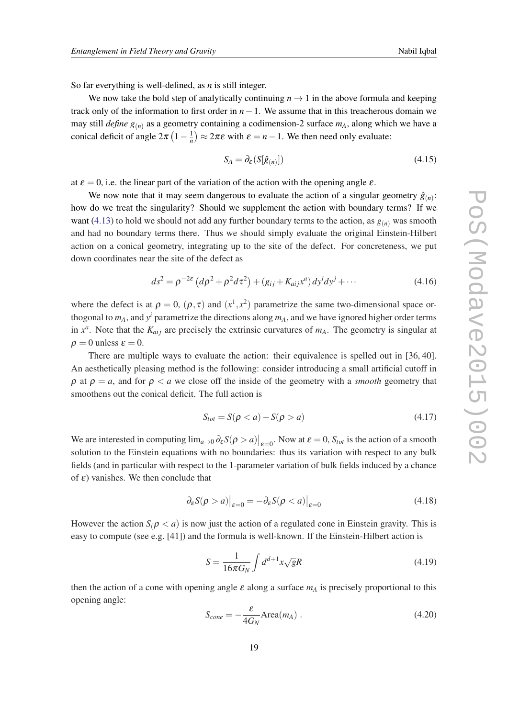<span id="page-19-0"></span>So far everything is well-defined, as *n* is still integer.

We now take the bold step of analytically continuing  $n \to 1$  in the above formula and keeping track only of the information to first order in  $n-1$ . We assume that in this treacherous domain we may still *define g*(*n*) as a geometry containing a codimension-2 surface *mA*, along which we have a conical deficit of angle  $2\pi \left(1 - \frac{1}{n}\right) \approx 2\pi \varepsilon$  with  $\varepsilon = n - 1$ . We then need only evaluate:

$$
S_A = \partial_{\varepsilon} (S[\hat{g}_{(n)}]) \tag{4.15}
$$

at  $\varepsilon = 0$ , i.e. the linear part of the variation of the action with the opening angle  $\varepsilon$ .

We now note that it may seem dangerous to evaluate the action of a singular geometry  $\hat{g}_{(n)}$ : how do we treat the singularity? Should we supplement the action with boundary terms? If we want ([4.13\)](#page-18-0) to hold we should not add any further boundary terms to the action, as  $g_{(n)}$  was smooth and had no boundary terms there. Thus we should simply evaluate the original Einstein-Hilbert action on a conical geometry, integrating up to the site of the defect. For concreteness, we put down coordinates near the site of the defect as

$$
ds^{2} = \rho^{-2\varepsilon} (d\rho^{2} + \rho^{2} d\tau^{2}) + (g_{ij} + K_{aij}x^{a}) dy^{i} dy^{j} + \cdots
$$
 (4.16)

where the defect is at  $\rho = 0$ ,  $(\rho, \tau)$  and  $(x^1, x^2)$  parametrize the same two-dimensional space orthogonal to  $m_A$ , and  $y^i$  parametrize the directions along  $m_A$ , and we have ignored higher order terms in  $x^a$ . Note that the  $K_{aij}$  are precisely the extrinsic curvatures of  $m_A$ . The geometry is singular at  $\rho = 0$  unless  $\varepsilon = 0$ .

There are multiple ways to evaluate the action: their equivalence is spelled out in [36, 40]. An aesthetically pleasing method is the following: consider introducing a small artificial cutoff in  $\rho$  at  $\rho = a$ , and for  $\rho < a$  we close off the inside of the geometry with a *smooth* geometry that smoothens out the conical deficit. The full action is

$$
S_{tot} = S(\rho < a) + S(\rho > a) \tag{4.17}
$$

We are interested in computing  $\lim_{a\to 0} \partial_{\varepsilon} S(\rho > a)|_{\varepsilon=0}$ . Now at  $\varepsilon = 0$ ,  $S_{tot}$  is the action of a smooth solution to the Einstein equations with no boundaries: thus its variation with respect to any bulk fields (and in particular with respect to the 1-parameter variation of bulk fields induced by a chance of  $\varepsilon$ ) vanishes. We then conclude that

$$
\left. \partial_{\varepsilon} S(\rho > a) \right|_{\varepsilon = 0} = -\partial_{\varepsilon} S(\rho < a) \big|_{\varepsilon = 0} \tag{4.18}
$$

However the action  $S(\rho < a)$  is now just the action of a regulated cone in Einstein gravity. This is easy to compute (see e.g. [41]) and the formula is well-known. If the Einstein-Hilbert action is

$$
S = \frac{1}{16\pi G_N} \int d^{d+1}x \sqrt{g}R
$$
\n(4.19)

then the action of a cone with opening angle  $\varepsilon$  along a surface  $m_A$  is precisely proportional to this opening angle:

$$
S_{cone} = -\frac{\varepsilon}{4G_N} \text{Area}(m_A) \tag{4.20}
$$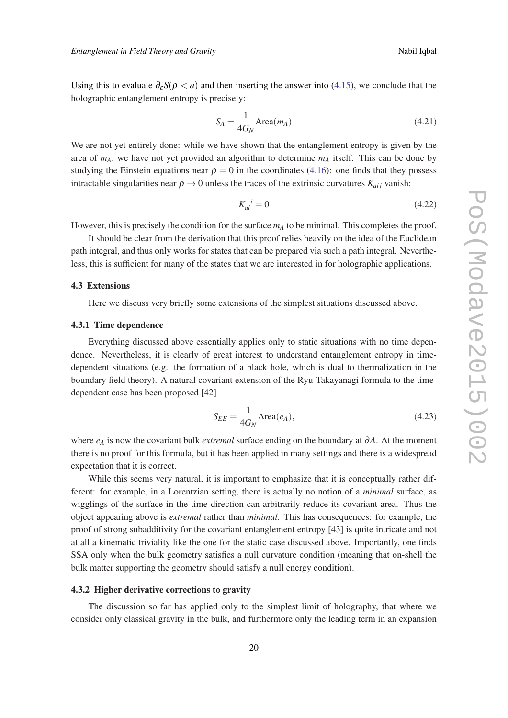<span id="page-20-0"></span>Using this to evaluate  $\partial_{\varepsilon} S(\rho < a)$  and then inserting the answer into ([4.15](#page-19-0)), we conclude that the holographic entanglement entropy is precisely:

$$
S_A = \frac{1}{4G_N} \text{Area}(m_A) \tag{4.21}
$$

We are not yet entirely done: while we have shown that the entanglement entropy is given by the area of *mA*, we have not yet provided an algorithm to determine *m<sup>A</sup>* itself. This can be done by studying the Einstein equations near  $\rho = 0$  in the coordinates [\(4.16](#page-19-0)): one finds that they possess intractable singularities near  $\rho \rightarrow 0$  unless the traces of the extrinsic curvatures  $K_{ai}$  vanish:

$$
K_{ai}^{\quad i} = 0\tag{4.22}
$$

However, this is precisely the condition for the surface *m<sup>A</sup>* to be minimal. This completes the proof.

It should be clear from the derivation that this proof relies heavily on the idea of the Euclidean path integral, and thus only works for states that can be prepared via such a path integral. Nevertheless, this is sufficient for many of the states that we are interested in for holographic applications.

## 4.3 Extensions

Here we discuss very briefly some extensions of the simplest situations discussed above.

#### 4.3.1 Time dependence

Everything discussed above essentially applies only to static situations with no time dependence. Nevertheless, it is clearly of great interest to understand entanglement entropy in timedependent situations (e.g. the formation of a black hole, which is dual to thermalization in the boundary field theory). A natural covariant extension of the Ryu-Takayanagi formula to the timedependent case has been proposed [42]

$$
S_{EE} = \frac{1}{4G_N} \text{Area}(e_A),\tag{4.23}
$$

where *e<sup>A</sup>* is now the covariant bulk *extremal* surface ending on the boundary at ∂*A*. At the moment there is no proof for this formula, but it has been applied in many settings and there is a widespread expectation that it is correct.

While this seems very natural, it is important to emphasize that it is conceptually rather different: for example, in a Lorentzian setting, there is actually no notion of a *minimal* surface, as wigglings of the surface in the time direction can arbitrarily reduce its covariant area. Thus the object appearing above is *extremal* rather than *minimal*. This has consequences: for example, the proof of strong subadditivity for the covariant entanglement entropy [43] is quite intricate and not at all a kinematic triviality like the one for the static case discussed above. Importantly, one finds SSA only when the bulk geometry satisfies a null curvature condition (meaning that on-shell the bulk matter supporting the geometry should satisfy a null energy condition).

## 4.3.2 Higher derivative corrections to gravity

The discussion so far has applied only to the simplest limit of holography, that where we consider only classical gravity in the bulk, and furthermore only the leading term in an expansion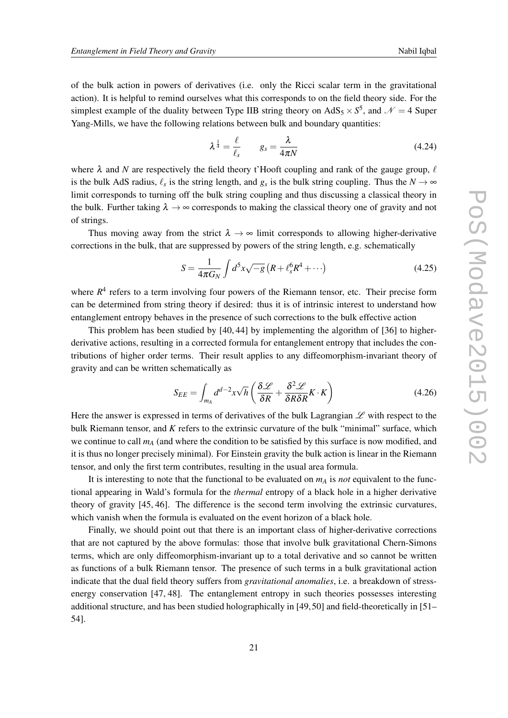<span id="page-21-0"></span>of the bulk action in powers of derivatives (i.e. only the Ricci scalar term in the gravitational action). It is helpful to remind ourselves what this corresponds to on the field theory side. For the simplest example of the duality between Type IIB string theory on  $AdS_5 \times S^5$ , and  $\mathcal{N} = 4$  Super Yang-Mills, we have the following relations between bulk and boundary quantities:

$$
\lambda^{\frac{1}{4}} = \frac{\ell}{\ell_s} \qquad g_s = \frac{\lambda}{4\pi N} \tag{4.24}
$$

where  $\lambda$  and N are respectively the field theory t'Hooft coupling and rank of the gauge group,  $\ell$ is the bulk AdS radius,  $\ell_s$  is the string length, and  $g_s$  is the bulk string coupling. Thus the  $N \to \infty$ limit corresponds to turning off the bulk string coupling and thus discussing a classical theory in the bulk. Further taking  $\lambda \rightarrow \infty$  corresponds to making the classical theory one of gravity and not of strings.

Thus moving away from the strict  $\lambda \to \infty$  limit corresponds to allowing higher-derivative corrections in the bulk, that are suppressed by powers of the string length, e.g. schematically

$$
S = \frac{1}{4\pi G_N} \int d^5 x \sqrt{-g} \left( R + \ell_s^6 R^4 + \cdots \right) \tag{4.25}
$$

where  $R<sup>4</sup>$  refers to a term involving four powers of the Riemann tensor, etc. Their precise form can be determined from string theory if desired: thus it is of intrinsic interest to understand how entanglement entropy behaves in the presence of such corrections to the bulk effective action

This problem has been studied by [40, 44] by implementing the algorithm of [36] to higherderivative actions, resulting in a corrected formula for entanglement entropy that includes the contributions of higher order terms. Their result applies to any diffeomorphism-invariant theory of gravity and can be written schematically as

$$
S_{EE} = \int_{m_A} d^{d-2}x \sqrt{h} \left( \frac{\delta \mathcal{L}}{\delta R} + \frac{\delta^2 \mathcal{L}}{\delta R \delta R} K \cdot K \right) \tag{4.26}
$$

Here the answer is expressed in terms of derivatives of the bulk Lagrangian  $\mathscr L$  with respect to the bulk Riemann tensor, and *K* refers to the extrinsic curvature of the bulk "minimal" surface, which we continue to call *m<sup>A</sup>* (and where the condition to be satisfied by this surface is now modified, and it is thus no longer precisely minimal). For Einstein gravity the bulk action is linear in the Riemann tensor, and only the first term contributes, resulting in the usual area formula.

It is interesting to note that the functional to be evaluated on  $m_A$  is *not* equivalent to the functional appearing in Wald's formula for the *thermal* entropy of a black hole in a higher derivative theory of gravity [45, 46]. The difference is the second term involving the extrinsic curvatures, which vanish when the formula is evaluated on the event horizon of a black hole.

Finally, we should point out that there is an important class of higher-derivative corrections that are not captured by the above formulas: those that involve bulk gravitational Chern-Simons terms, which are only diffeomorphism-invariant up to a total derivative and so cannot be written as functions of a bulk Riemann tensor. The presence of such terms in a bulk gravitational action indicate that the dual field theory suffers from *gravitational anomalies*, i.e. a breakdown of stressenergy conservation [47, 48]. The entanglement entropy in such theories possesses interesting additional structure, and has been studied holographically in [49,50] and field-theoretically in [51– 54].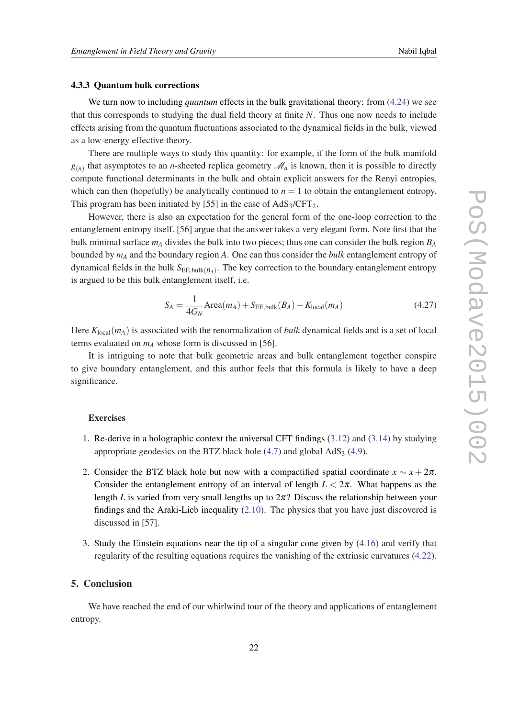#### <span id="page-22-0"></span>4.3.3 Quantum bulk corrections

We turn now to including *quantum* effects in the bulk gravitational theory: from [\(4.24](#page-21-0)) we see that this corresponds to studying the dual field theory at finite *N*. Thus one now needs to include effects arising from the quantum fluctuations associated to the dynamical fields in the bulk, viewed as a low-energy effective theory.

There are multiple ways to study this quantity: for example, if the form of the bulk manifold  $g(n)$  that asymptotes to an *n*-sheeted replica geometry  $\mathcal{M}_n$  is known, then it is possible to directly compute functional determinants in the bulk and obtain explicit answers for the Renyi entropies, which can then (hopefully) be analytically continued to  $n = 1$  to obtain the entanglement entropy. This program has been initiated by [55] in the case of  $AdS_3/CFT_2$ .

However, there is also an expectation for the general form of the one-loop correction to the entanglement entropy itself. [56] argue that the answer takes a very elegant form. Note first that the bulk minimal surface *m<sup>A</sup>* divides the bulk into two pieces; thus one can consider the bulk region *B<sup>A</sup>* bounded by *m<sup>A</sup>* and the boundary region *A*. One can thus consider the *bulk* entanglement entropy of dynamical fields in the bulk  $S_{\text{EE,bulk}(B_A)}$ . The key correction to the boundary entanglement entropy is argued to be this bulk entanglement itself, i.e.

$$
S_A = \frac{1}{4G_N} \text{Area}(m_A) + S_{\text{EE,bulk}}(B_A) + K_{\text{local}}(m_A)
$$
(4.27)

Here  $K_{local}(m_A)$  is associated with the renormalization of *bulk* dynamical fields and is a set of local terms evaluated on  $m_A$  whose form is discussed in [56].

It is intriguing to note that bulk geometric areas and bulk entanglement together conspire to give boundary entanglement, and this author feels that this formula is likely to have a deep significance.

#### **Exercises**

- 1. Re-derive in a holographic context the universal CFT findings [\(3.12](#page-8-0)) and [\(3.14](#page-8-0)) by studying appropriate geodesics on the BTZ black hole  $(4.7)$  $(4.7)$  $(4.7)$  and global  $AdS<sub>3</sub>(4.9)$  $AdS<sub>3</sub>(4.9)$ .
- 2. Consider the BTZ black hole but now with a compactified spatial coordinate  $x \sim x + 2\pi$ . Consider the entanglement entropy of an interval of length  $L < 2\pi$ . What happens as the length *L* is varied from very small lengths up to  $2\pi$ ? Discuss the relationship between your findings and the Araki-Lieb inequality ([2.10\)](#page-4-0). The physics that you have just discovered is discussed in [57].
- 3. Study the Einstein equations near the tip of a singular cone given by [\(4.16](#page-19-0)) and verify that regularity of the resulting equations requires the vanishing of the extrinsic curvatures [\(4.22\)](#page-20-0).

## 5. Conclusion

We have reached the end of our whirlwind tour of the theory and applications of entanglement entropy.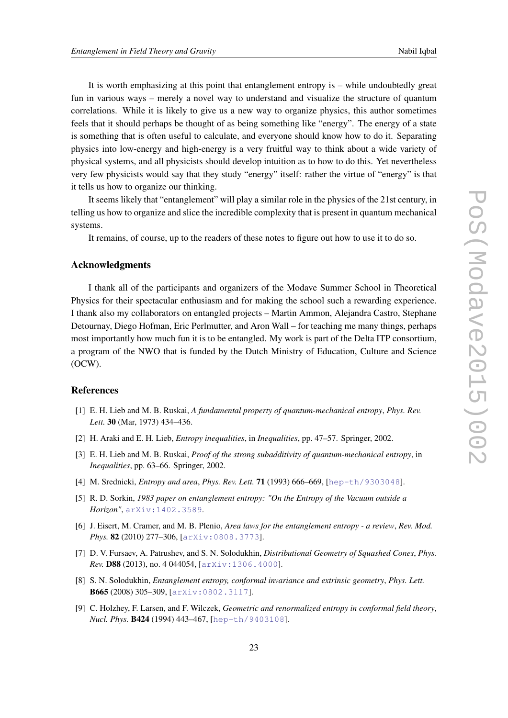It is worth emphasizing at this point that entanglement entropy is – while undoubtedly great fun in various ways – merely a novel way to understand and visualize the structure of quantum correlations. While it is likely to give us a new way to organize physics, this author sometimes feels that it should perhaps be thought of as being something like "energy". The energy of a state is something that is often useful to calculate, and everyone should know how to do it. Separating physics into low-energy and high-energy is a very fruitful way to think about a wide variety of physical systems, and all physicists should develop intuition as to how to do this. Yet nevertheless very few physicists would say that they study "energy" itself: rather the virtue of "energy" is that it tells us how to organize our thinking.

It seems likely that "entanglement" will play a similar role in the physics of the 21st century, in telling us how to organize and slice the incredible complexity that is present in quantum mechanical systems.

It remains, of course, up to the readers of these notes to figure out how to use it to do so.

## Acknowledgments

I thank all of the participants and organizers of the Modave Summer School in Theoretical Physics for their spectacular enthusiasm and for making the school such a rewarding experience. I thank also my collaborators on entangled projects – Martin Ammon, Alejandra Castro, Stephane Detournay, Diego Hofman, Eric Perlmutter, and Aron Wall – for teaching me many things, perhaps most importantly how much fun it is to be entangled. My work is part of the Delta ITP consortium, a program of the NWO that is funded by the Dutch Ministry of Education, Culture and Science (OCW).

## References

- [1] E. H. Lieb and M. B. Ruskai, *A fundamental property of quantum-mechanical entropy*, *Phys. Rev. Lett.* 30 (Mar, 1973) 434–436.
- [2] H. Araki and E. H. Lieb, *Entropy inequalities*, in *Inequalities*, pp. 47–57. Springer, 2002.
- [3] E. H. Lieb and M. B. Ruskai, *Proof of the strong subadditivity of quantum-mechanical entropy*, in *Inequalities*, pp. 63–66. Springer, 2002.
- [4] M. Srednicki, *Entropy and area*, *Phys. Rev. Lett.* 71 (1993) 666–669, [[hep-th/9303048](http://xxx.lanl.gov/abs/hep-th/9303048)].
- [5] R. D. Sorkin, *1983 paper on entanglement entropy: "On the Entropy of the Vacuum outside a Horizon"*, [arXiv:1402.3589](http://xxx.lanl.gov/abs/1402.3589).
- [6] J. Eisert, M. Cramer, and M. B. Plenio, *Area laws for the entanglement entropy a review*, *Rev. Mod. Phys.* 82 (2010) 277–306, [[arXiv:0808.3773](http://xxx.lanl.gov/abs/0808.3773)].
- [7] D. V. Fursaev, A. Patrushev, and S. N. Solodukhin, *Distributional Geometry of Squashed Cones*, *Phys. Rev.* D88 (2013), no. 4 044054, [[arXiv:1306.4000](http://xxx.lanl.gov/abs/1306.4000)].
- [8] S. N. Solodukhin, *Entanglement entropy, conformal invariance and extrinsic geometry*, *Phys. Lett.* B665 (2008) 305–309, [[arXiv:0802.3117](http://xxx.lanl.gov/abs/0802.3117)].
- [9] C. Holzhey, F. Larsen, and F. Wilczek, *Geometric and renormalized entropy in conformal field theory*, *Nucl. Phys.* B424 (1994) 443–467, [[hep-th/9403108](http://xxx.lanl.gov/abs/hep-th/9403108)].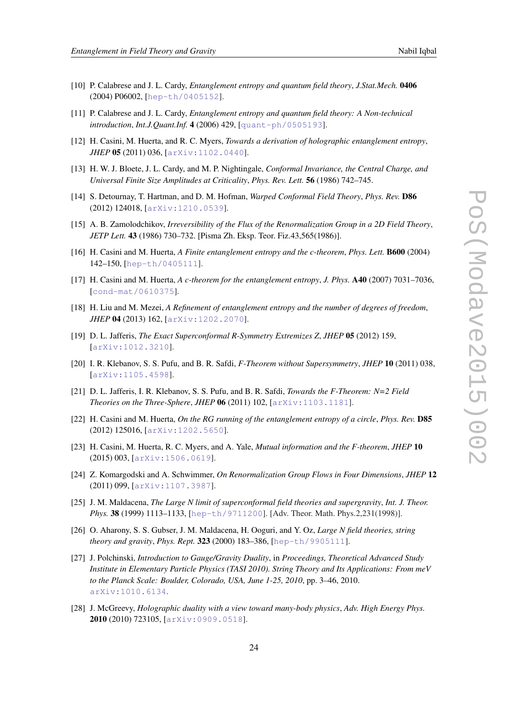- [10] P. Calabrese and J. L. Cardy, *Entanglement entropy and quantum field theory*, *J.Stat.Mech.* 0406 (2004) P06002, [[hep-th/0405152](http://xxx.lanl.gov/abs/hep-th/0405152)].
- [11] P. Calabrese and J. L. Cardy, *Entanglement entropy and quantum field theory: A Non-technical introduction*, *Int.J.Quant.Inf.* 4 (2006) 429, [[quant-ph/0505193](http://xxx.lanl.gov/abs/quant-ph/0505193)].
- [12] H. Casini, M. Huerta, and R. C. Myers, *Towards a derivation of holographic entanglement entropy*, *JHEP* 05 (2011) 036, [[arXiv:1102.0440](http://xxx.lanl.gov/abs/1102.0440)].
- [13] H. W. J. Bloete, J. L. Cardy, and M. P. Nightingale, *Conformal Invariance, the Central Charge, and Universal Finite Size Amplitudes at Criticality*, *Phys. Rev. Lett.* 56 (1986) 742–745.
- [14] S. Detournay, T. Hartman, and D. M. Hofman, *Warped Conformal Field Theory*, *Phys. Rev.* D86 (2012) 124018, [[arXiv:1210.0539](http://xxx.lanl.gov/abs/1210.0539)].
- [15] A. B. Zamolodchikov, *Irreversibility of the Flux of the Renormalization Group in a 2D Field Theory*, *JETP Lett.* 43 (1986) 730–732. [Pisma Zh. Eksp. Teor. Fiz.43,565(1986)].
- [16] H. Casini and M. Huerta, *A Finite entanglement entropy and the c-theorem*, *Phys. Lett.* B600 (2004) 142–150, [[hep-th/0405111](http://xxx.lanl.gov/abs/hep-th/0405111)].
- [17] H. Casini and M. Huerta, *A c-theorem for the entanglement entropy*, *J. Phys.* A40 (2007) 7031–7036, [[cond-mat/0610375](http://xxx.lanl.gov/abs/cond-mat/0610375)].
- [18] H. Liu and M. Mezei, *A Refinement of entanglement entropy and the number of degrees of freedom*, *JHEP* 04 (2013) 162, [[arXiv:1202.2070](http://xxx.lanl.gov/abs/1202.2070)].
- [19] D. L. Jafferis, *The Exact Superconformal R-Symmetry Extremizes Z*, *JHEP* 05 (2012) 159, [[arXiv:1012.3210](http://xxx.lanl.gov/abs/1012.3210)].
- [20] I. R. Klebanov, S. S. Pufu, and B. R. Safdi, *F-Theorem without Supersymmetry*, *JHEP* 10 (2011) 038, [[arXiv:1105.4598](http://xxx.lanl.gov/abs/1105.4598)].
- [21] D. L. Jafferis, I. R. Klebanov, S. S. Pufu, and B. R. Safdi, *Towards the F-Theorem: N=2 Field Theories on the Three-Sphere*, *JHEP* 06 (2011) 102, [[arXiv:1103.1181](http://xxx.lanl.gov/abs/1103.1181)].
- [22] H. Casini and M. Huerta, *On the RG running of the entanglement entropy of a circle*, *Phys. Rev.* D85 (2012) 125016, [[arXiv:1202.5650](http://xxx.lanl.gov/abs/1202.5650)].
- [23] H. Casini, M. Huerta, R. C. Myers, and A. Yale, *Mutual information and the F-theorem*, *JHEP* 10 (2015) 003, [[arXiv:1506.0619](http://xxx.lanl.gov/abs/1506.0619)].
- [24] Z. Komargodski and A. Schwimmer, *On Renormalization Group Flows in Four Dimensions*, *JHEP* 12 (2011) 099, [[arXiv:1107.3987](http://xxx.lanl.gov/abs/1107.3987)].
- [25] J. M. Maldacena, *The Large N limit of superconformal field theories and supergravity*, *Int. J. Theor. Phys.* 38 (1999) 1113–1133, [[hep-th/9711200](http://xxx.lanl.gov/abs/hep-th/9711200)]. [Adv. Theor. Math. Phys.2,231(1998)].
- [26] O. Aharony, S. S. Gubser, J. M. Maldacena, H. Ooguri, and Y. Oz, *Large N field theories, string theory and gravity*, *Phys. Rept.* 323 (2000) 183–386, [[hep-th/9905111](http://xxx.lanl.gov/abs/hep-th/9905111)].
- [27] J. Polchinski, *Introduction to Gauge/Gravity Duality*, in *Proceedings, Theoretical Advanced Study Institute in Elementary Particle Physics (TASI 2010). String Theory and Its Applications: From meV to the Planck Scale: Boulder, Colorado, USA, June 1-25, 2010*, pp. 3–46, 2010. [arXiv:1010.6134](http://xxx.lanl.gov/abs/1010.6134).
- [28] J. McGreevy, *Holographic duality with a view toward many-body physics*, *Adv. High Energy Phys.* 2010 (2010) 723105, [[arXiv:0909.0518](http://xxx.lanl.gov/abs/0909.0518)].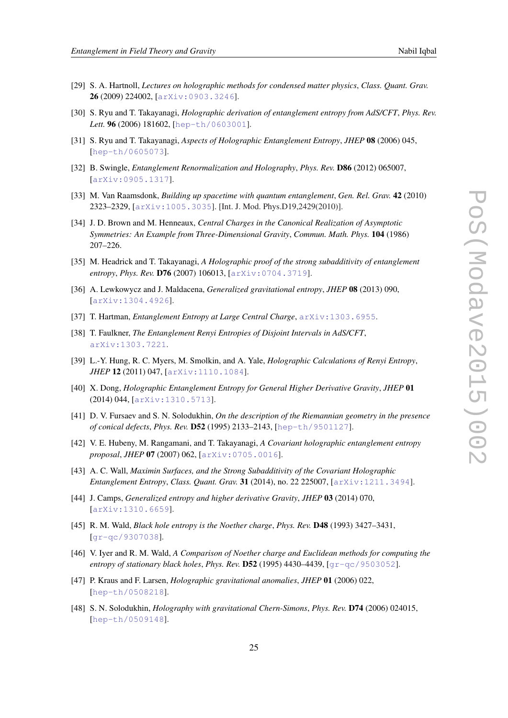- [29] S. A. Hartnoll, *Lectures on holographic methods for condensed matter physics*, *Class. Quant. Grav.* 26 (2009) 224002, [[arXiv:0903.3246](http://xxx.lanl.gov/abs/0903.3246)].
- [30] S. Ryu and T. Takayanagi, *Holographic derivation of entanglement entropy from AdS/CFT*, *Phys. Rev.* Lett. 96 (2006) 181602, [[hep-th/0603001](http://xxx.lanl.gov/abs/hep-th/0603001)].
- [31] S. Ryu and T. Takayanagi, *Aspects of Holographic Entanglement Entropy*, *JHEP* 08 (2006) 045, [[hep-th/0605073](http://xxx.lanl.gov/abs/hep-th/0605073)].
- [32] B. Swingle, *Entanglement Renormalization and Holography*, *Phys. Rev.* D86 (2012) 065007, [[arXiv:0905.1317](http://xxx.lanl.gov/abs/0905.1317)].
- [33] M. Van Raamsdonk, *Building up spacetime with quantum entanglement*, *Gen. Rel. Grav.* 42 (2010) 2323–2329, [[arXiv:1005.3035](http://xxx.lanl.gov/abs/1005.3035)]. [Int. J. Mod. Phys.D19,2429(2010)].
- [34] J. D. Brown and M. Henneaux, *Central Charges in the Canonical Realization of Asymptotic Symmetries: An Example from Three-Dimensional Gravity*, *Commun. Math. Phys.* 104 (1986) 207–226.
- [35] M. Headrick and T. Takayanagi, *A Holographic proof of the strong subadditivity of entanglement entropy*, *Phys. Rev.* D76 (2007) 106013, [[arXiv:0704.3719](http://xxx.lanl.gov/abs/0704.3719)].
- [36] A. Lewkowycz and J. Maldacena, *Generalized gravitational entropy*, *JHEP* 08 (2013) 090, [[arXiv:1304.4926](http://xxx.lanl.gov/abs/1304.4926)].
- [37] T. Hartman, *Entanglement Entropy at Large Central Charge*, [arXiv:1303.6955](http://xxx.lanl.gov/abs/1303.6955).
- [38] T. Faulkner, *The Entanglement Renyi Entropies of Disjoint Intervals in AdS/CFT*, [arXiv:1303.7221](http://xxx.lanl.gov/abs/1303.7221).
- [39] L.-Y. Hung, R. C. Myers, M. Smolkin, and A. Yale, *Holographic Calculations of Renyi Entropy*, *JHEP* 12 (2011) 047, [[arXiv:1110.1084](http://xxx.lanl.gov/abs/1110.1084)].
- [40] X. Dong, *Holographic Entanglement Entropy for General Higher Derivative Gravity*, *JHEP* 01 (2014) 044, [[arXiv:1310.5713](http://xxx.lanl.gov/abs/1310.5713)].
- [41] D. V. Fursaev and S. N. Solodukhin, *On the description of the Riemannian geometry in the presence of conical defects*, *Phys. Rev.* D52 (1995) 2133–2143, [[hep-th/9501127](http://xxx.lanl.gov/abs/hep-th/9501127)].
- [42] V. E. Hubeny, M. Rangamani, and T. Takayanagi, *A Covariant holographic entanglement entropy proposal*, *JHEP* 07 (2007) 062, [[arXiv:0705.0016](http://xxx.lanl.gov/abs/0705.0016)].
- [43] A. C. Wall, *Maximin Surfaces, and the Strong Subadditivity of the Covariant Holographic Entanglement Entropy*, *Class. Quant. Grav.* 31 (2014), no. 22 225007, [[arXiv:1211.3494](http://xxx.lanl.gov/abs/1211.3494)].
- [44] J. Camps, *Generalized entropy and higher derivative Gravity*, *JHEP* 03 (2014) 070, [[arXiv:1310.6659](http://xxx.lanl.gov/abs/1310.6659)].
- [45] R. M. Wald, *Black hole entropy is the Noether charge*, *Phys. Rev.* D48 (1993) 3427–3431, [[gr-qc/9307038](http://xxx.lanl.gov/abs/gr-qc/9307038)].
- [46] V. Iyer and R. M. Wald, *A Comparison of Noether charge and Euclidean methods for computing the entropy of stationary black holes*, *Phys. Rev.* D52 (1995) 4430–4439, [[gr-qc/9503052](http://xxx.lanl.gov/abs/gr-qc/9503052)].
- [47] P. Kraus and F. Larsen, *Holographic gravitational anomalies*, *JHEP* 01 (2006) 022, [[hep-th/0508218](http://xxx.lanl.gov/abs/hep-th/0508218)].
- [48] S. N. Solodukhin, *Holography with gravitational Chern-Simons*, *Phys. Rev.* D74 (2006) 024015, [[hep-th/0509148](http://xxx.lanl.gov/abs/hep-th/0509148)].